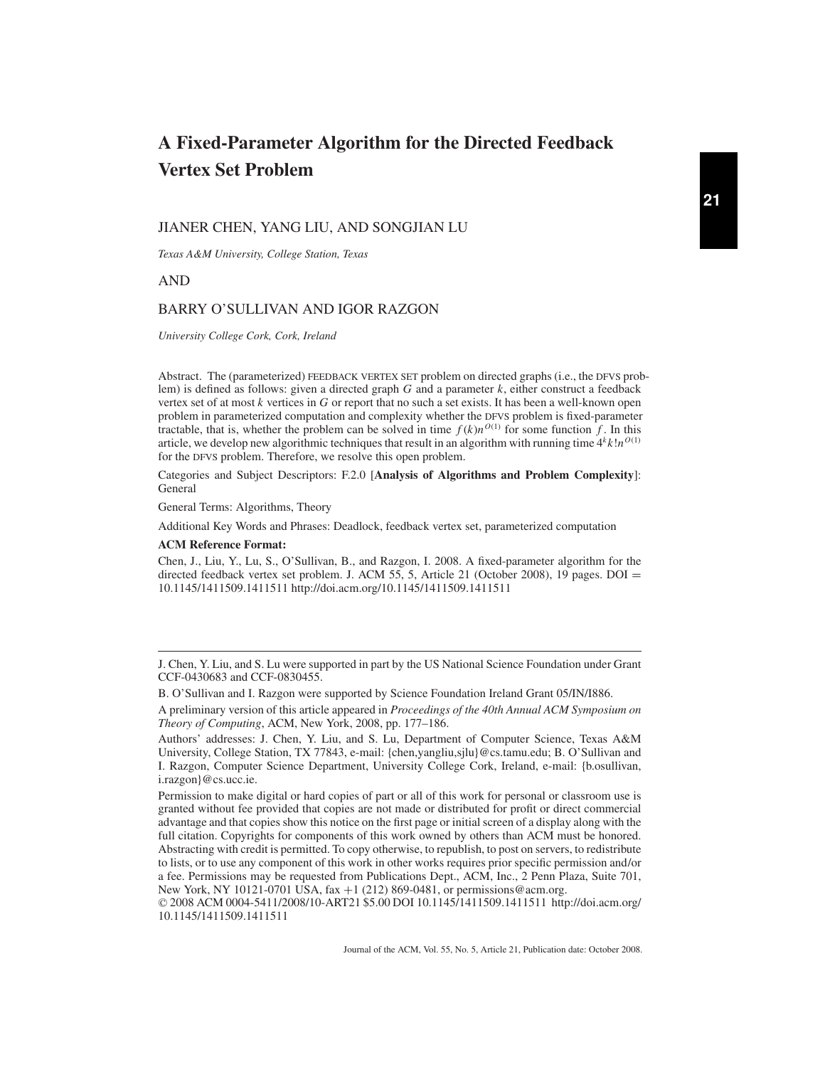# **A Fixed-Parameter Algorithm for the Directed Feedback Vertex Set Problem**

#### JIANER CHEN, YANG LIU, AND SONGJIAN LU

*Texas A&M University, College Station, Texas*

AND

### BARRY O'SULLIVAN AND IGOR RAZGON

*University College Cork, Cork, Ireland*

Abstract. The (parameterized) FEEDBACK VERTEX SET problem on directed graphs (i.e., the DFVS problem) is defined as follows: given a directed graph *G* and a parameter *k*, either construct a feedback vertex set of at most *k* vertices in *G* or report that no such a set exists. It has been a well-known open problem in parameterized computation and complexity whether the DFVS problem is fixed-parameter tractable, that is, whether the problem can be solved in time  $f(k)n^{O(1)}$  for some function  $f$ . In this article, we develop new algorithmic techniques that result in an algorithm with running time  $4k/n^{O(1)}$ for the DFVS problem. Therefore, we resolve this open problem.

Categories and Subject Descriptors: F.2.0 [**Analysis of Algorithms and Problem Complexity**]: General

General Terms: Algorithms, Theory

Additional Key Words and Phrases: Deadlock, feedback vertex set, parameterized computation

#### **ACM Reference Format:**

Chen, J., Liu, Y., Lu, S., O'Sullivan, B., and Razgon, I. 2008. A fixed-parameter algorithm for the directed feedback vertex set problem. J. ACM 55, 5, Article 21 (October 2008), 19 pages. DOI = 10.1145/1411509.1411511 http://doi.acm.org/10.1145/1411509.1411511

B. O'Sullivan and I. Razgon were supported by Science Foundation Ireland Grant 05/IN/I886.

J. Chen, Y. Liu, and S. Lu were supported in part by the US National Science Foundation under Grant CCF-0430683 and CCF-0830455.

A preliminary version of this article appeared in *Proceedings of the 40th Annual ACM Symposium on Theory of Computing*, ACM, New York, 2008, pp. 177–186.

Authors' addresses: J. Chen, Y. Liu, and S. Lu, Department of Computer Science, Texas A&M University, College Station, TX 77843, e-mail: {chen,yangliu,sjlu}@cs.tamu.edu; B. O'Sullivan and I. Razgon, Computer Science Department, University College Cork, Ireland, e-mail: {b.osullivan, i.razgon}@cs.ucc.ie.

Permission to make digital or hard copies of part or all of this work for personal or classroom use is granted without fee provided that copies are not made or distributed for profit or direct commercial advantage and that copies show this notice on the first page or initial screen of a display along with the full citation. Copyrights for components of this work owned by others than ACM must be honored. Abstracting with credit is permitted. To copy otherwise, to republish, to post on servers, to redistribute to lists, or to use any component of this work in other works requires prior specific permission and/or a fee. Permissions may be requested from Publications Dept., ACM, Inc., 2 Penn Plaza, Suite 701, New York, NY 10121-0701 USA, fax +1 (212) 869-0481, or permissions@acm.org.

<sup>© 2008</sup> ACM 0004-5411/2008/10-ART21 \$5.00 DOI 10.1145/1411509.1411511 http://doi.acm.org/ 10.1145/1411509.1411511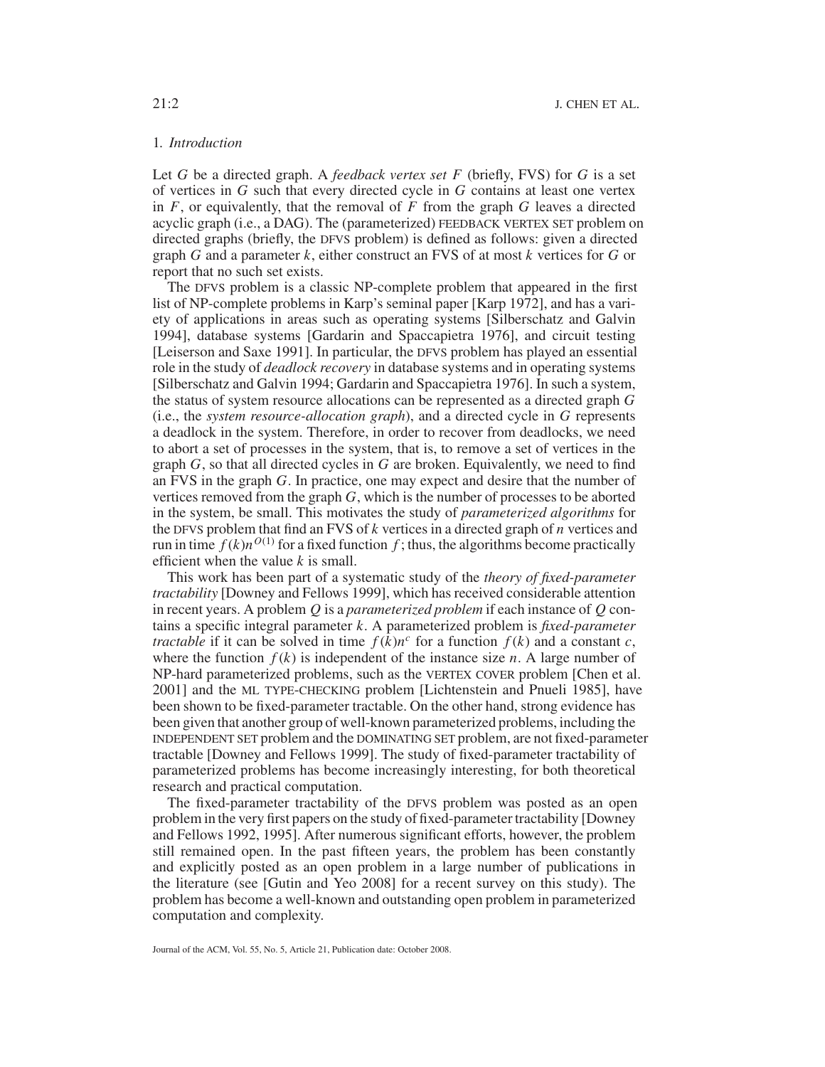# 1*. Introduction*

Let *G* be a directed graph. A *feedback vertex set F* (briefly, FVS) for *G* is a set of vertices in *G* such that every directed cycle in *G* contains at least one vertex in  $F$ , or equivalently, that the removal of  $F$  from the graph  $G$  leaves a directed acyclic graph (i.e., a DAG). The (parameterized) FEEDBACK VERTEX SET problem on directed graphs (briefly, the DFVS problem) is defined as follows: given a directed graph *G* and a parameter *k*, either construct an FVS of at most *k* vertices for *G* or report that no such set exists.

The DFVS problem is a classic NP-complete problem that appeared in the first list of NP-complete problems in Karp's seminal paper [Karp 1972], and has a variety of applications in areas such as operating systems [Silberschatz and Galvin 1994], database systems [Gardarin and Spaccapietra 1976], and circuit testing [Leiserson and Saxe 1991]. In particular, the DFVS problem has played an essential role in the study of *deadlock recovery* in database systems and in operating systems [Silberschatz and Galvin 1994; Gardarin and Spaccapietra 1976]. In such a system, the status of system resource allocations can be represented as a directed graph *G* (i.e., the *system resource-allocation graph*), and a directed cycle in *G* represents a deadlock in the system. Therefore, in order to recover from deadlocks, we need to abort a set of processes in the system, that is, to remove a set of vertices in the graph *G*, so that all directed cycles in *G* are broken. Equivalently, we need to find an FVS in the graph *G*. In practice, one may expect and desire that the number of vertices removed from the graph *G*, which is the number of processes to be aborted in the system, be small. This motivates the study of *parameterized algorithms* for the DFVS problem that find an FVS of *k* vertices in a directed graph of *n* vertices and run in time  $f(k)n^{O(1)}$  for a fixed function f; thus, the algorithms become practically efficient when the value *k* is small.

This work has been part of a systematic study of the *theory of fixed-parameter tractability* [Downey and Fellows 1999], which has received considerable attention in recent years. A problem *Q* is a *parameterized problem* if each instance of *Q* contains a specific integral parameter *k*. A parameterized problem is *fixed-parameter tractable* if it can be solved in time  $f(k)n^c$  for a function  $f(k)$  and a constant *c*, where the function  $f(k)$  is independent of the instance size *n*. A large number of NP-hard parameterized problems, such as the VERTEX COVER problem [Chen et al. 2001] and the ML TYPE-CHECKING problem [Lichtenstein and Pnueli 1985], have been shown to be fixed-parameter tractable. On the other hand, strong evidence has been given that another group of well-known parameterized problems, including the INDEPENDENT SET problem and the DOMINATING SET problem, are not fixed-parameter tractable [Downey and Fellows 1999]. The study of fixed-parameter tractability of parameterized problems has become increasingly interesting, for both theoretical research and practical computation.

The fixed-parameter tractability of the DFVS problem was posted as an open problem in the very first papers on the study of fixed-parameter tractability [Downey and Fellows 1992, 1995]. After numerous significant efforts, however, the problem still remained open. In the past fifteen years, the problem has been constantly and explicitly posted as an open problem in a large number of publications in the literature (see [Gutin and Yeo 2008] for a recent survey on this study). The problem has become a well-known and outstanding open problem in parameterized computation and complexity.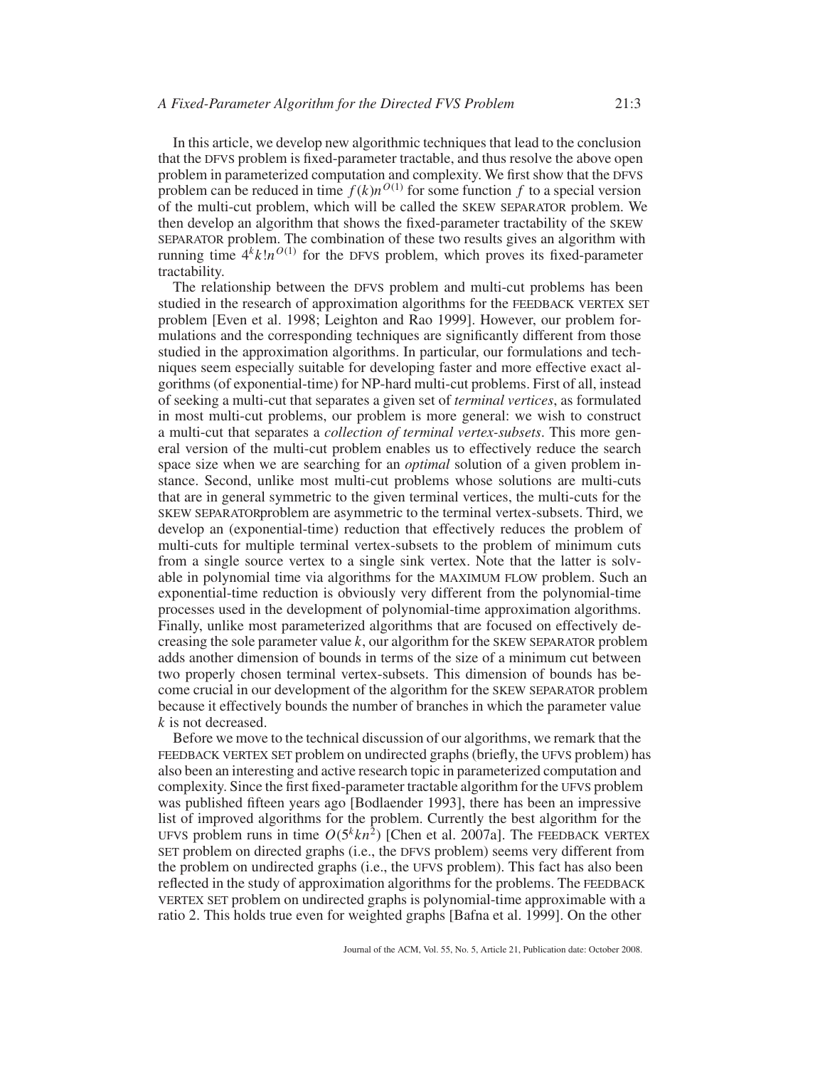In this article, we develop new algorithmic techniques that lead to the conclusion that the DFVS problem is fixed-parameter tractable, and thus resolve the above open problem in parameterized computation and complexity. We first show that the DFVS problem can be reduced in time  $f(k)n^{O(1)}$  for some function f to a special version of the multi-cut problem, which will be called the SKEW SEPARATOR problem. We then develop an algorithm that shows the fixed-parameter tractability of the SKEW SEPARATOR problem. The combination of these two results gives an algorithm with running time  $4^k k! n^{O(1)}$  for the DFVS problem, which proves its fixed-parameter tractability.

The relationship between the DFVS problem and multi-cut problems has been studied in the research of approximation algorithms for the FEEDBACK VERTEX SET problem [Even et al. 1998; Leighton and Rao 1999]. However, our problem formulations and the corresponding techniques are significantly different from those studied in the approximation algorithms. In particular, our formulations and techniques seem especially suitable for developing faster and more effective exact algorithms (of exponential-time) for NP-hard multi-cut problems. First of all, instead of seeking a multi-cut that separates a given set of *terminal vertices*, as formulated in most multi-cut problems, our problem is more general: we wish to construct a multi-cut that separates a *collection of terminal vertex-subsets*. This more general version of the multi-cut problem enables us to effectively reduce the search space size when we are searching for an *optimal* solution of a given problem instance. Second, unlike most multi-cut problems whose solutions are multi-cuts that are in general symmetric to the given terminal vertices, the multi-cuts for the SKEW SEPARATORproblem are asymmetric to the terminal vertex-subsets. Third, we develop an (exponential-time) reduction that effectively reduces the problem of multi-cuts for multiple terminal vertex-subsets to the problem of minimum cuts from a single source vertex to a single sink vertex. Note that the latter is solvable in polynomial time via algorithms for the MAXIMUM FLOW problem. Such an exponential-time reduction is obviously very different from the polynomial-time processes used in the development of polynomial-time approximation algorithms. Finally, unlike most parameterized algorithms that are focused on effectively decreasing the sole parameter value  $k$ , our algorithm for the SKEW SEPARATOR problem adds another dimension of bounds in terms of the size of a minimum cut between two properly chosen terminal vertex-subsets. This dimension of bounds has become crucial in our development of the algorithm for the SKEW SEPARATOR problem because it effectively bounds the number of branches in which the parameter value *k* is not decreased.

Before we move to the technical discussion of our algorithms, we remark that the FEEDBACK VERTEX SET problem on undirected graphs (briefly, the UFVS problem) has also been an interesting and active research topic in parameterized computation and complexity. Since the first fixed-parameter tractable algorithm for the UFVS problem was published fifteen years ago [Bodlaender 1993], there has been an impressive list of improved algorithms for the problem. Currently the best algorithm for the UFVS problem runs in time  $O(5^k kn^2)$  [Chen et al. 2007a]. The FEEDBACK VERTEX SET problem on directed graphs (i.e., the DFVS problem) seems very different from the problem on undirected graphs (i.e., the UFVS problem). This fact has also been reflected in the study of approximation algorithms for the problems. The FEEDBACK VERTEX SET problem on undirected graphs is polynomial-time approximable with a ratio 2. This holds true even for weighted graphs [Bafna et al. 1999]. On the other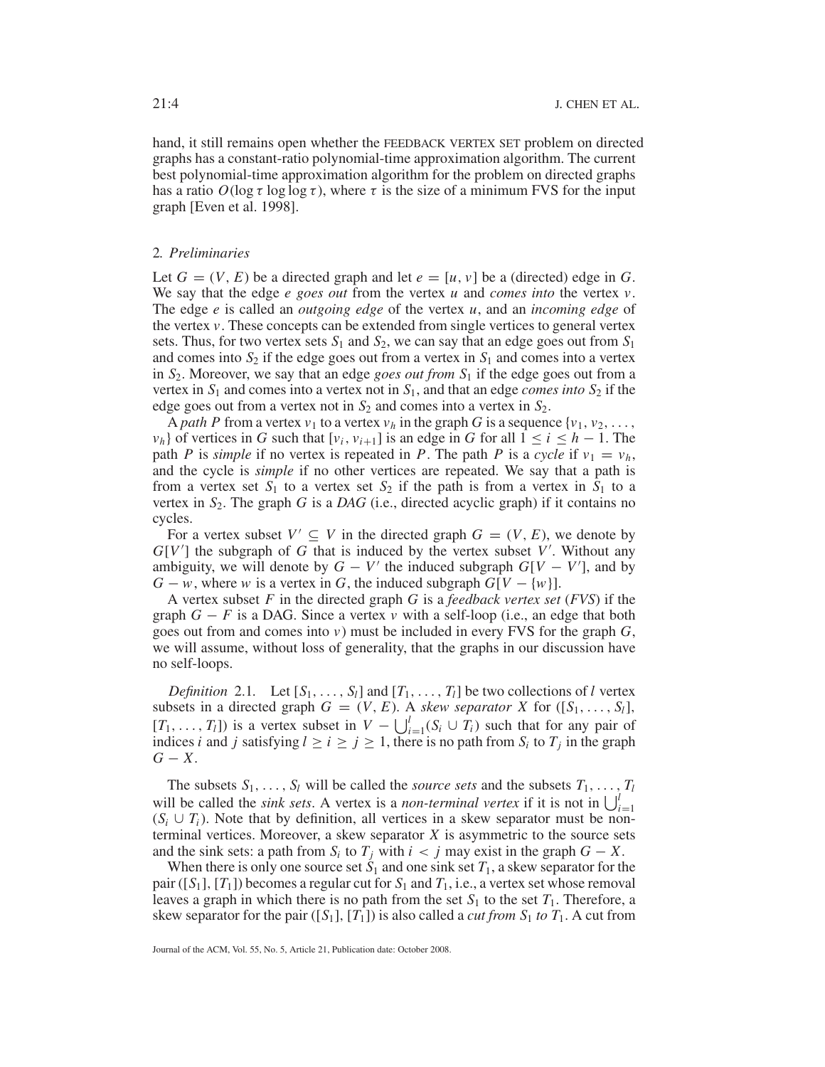hand, it still remains open whether the FEEDBACK VERTEX SET problem on directed graphs has a constant-ratio polynomial-time approximation algorithm. The current best polynomial-time approximation algorithm for the problem on directed graphs has a ratio  $O(\log \tau \log \log \tau)$ , where  $\tau$  is the size of a minimum FVS for the input graph [Even et al. 1998].

# 2*. Preliminaries*

Let  $G = (V, E)$  be a directed graph and let  $e = [u, v]$  be a (directed) edge in  $G$ . We say that the edge *e goes out* from the vertex *u* and *comes into* the vertex *v*. The edge *e* is called an *outgoing edge* of the vertex *u*, and an *incoming edge* of the vertex *v*. These concepts can be extended from single vertices to general vertex sets. Thus, for two vertex sets  $S_1$  and  $S_2$ , we can say that an edge goes out from  $S_1$ and comes into  $S_2$  if the edge goes out from a vertex in  $S_1$  and comes into a vertex in *S*2. Moreover, we say that an edge *goes out from S*<sup>1</sup> if the edge goes out from a vertex in  $S_1$  and comes into a vertex not in  $S_1$ , and that an edge *comes into*  $S_2$  if the edge goes out from a vertex not in  $S_2$  and comes into a vertex in  $S_2$ .

A *path P* from a vertex  $v_1$  to a vertex  $v_h$  in the graph G is a sequence  $\{v_1, v_2, \ldots, v_h\}$ *v<sub>h</sub>*} of vertices in *G* such that  $[v_i, v_{i+1}]$  is an edge in *G* for all  $1 \le i \le h - 1$ . The path *P* is *simple* if no vertex is repeated in *P*. The path *P* is a *cycle* if  $v_1 = v_h$ , and the cycle is *simple* if no other vertices are repeated. We say that a path is from a vertex set  $S_1$  to a vertex set  $S_2$  if the path is from a vertex in  $S_1$  to a vertex in  $S_2$ . The graph *G* is a *DAG* (i.e., directed acyclic graph) if it contains no cycles.

For a vertex subset  $V' \subseteq V$  in the directed graph  $G = (V, E)$ , we denote by *G*[*V* ] the subgraph of *G* that is induced by the vertex subset *V* . Without any ambiguity, we will denote by  $G - V'$  the induced subgraph  $G[V - V']$ , and by *G* − *w*, where *w* is a vertex in *G*, the induced subgraph  $G[V - \{w\}]$ .

A vertex subset *F* in the directed graph *G* is a *feedback vertex set* (*FVS*) if the graph  $G - F$  is a DAG. Since a vertex  $v$  with a self-loop (i.e., an edge that both goes out from and comes into  $v$ ) must be included in every FVS for the graph  $G$ , we will assume, without loss of generality, that the graphs in our discussion have no self-loops.

*Definition* 2.1. Let  $[S_1, \ldots, S_l]$  and  $[T_1, \ldots, T_l]$  be two collections of *l* vertex subsets in a directed graph  $G = (V, E)$ . A *skew separator X* for  $([S_1, \ldots, S_l],$  $[T_1, \ldots, T_l]$ ) is a vertex subset in  $V - \bigcup_{i=1}^l (S_i \cup T_i)$  such that for any pair of indices *i* and *j* satisfying  $l \ge i \ge j \ge 1$ , there is no path from  $S_i$  to  $T_j$  in the graph *G* − *X*.

The subsets  $S_1, \ldots, S_l$  will be called the *source sets* and the subsets  $T_1, \ldots, T_l$ will be called the *sink sets*. A vertex is a *non-terminal vertex* if it is not in  $\bigcup_{i=1}^{l}$  $(S_i \cup T_i)$ . Note that by definition, all vertices in a skew separator must be nonterminal vertices. Moreover, a skew separator *X* is asymmetric to the source sets and the sink sets: a path from  $S_i$  to  $T_j$  with  $i < j$  may exist in the graph  $G - X$ .

When there is only one source set  $S_1$  and one sink set  $T_1$ , a skew separator for the pair ([ $S_1$ ], [ $T_1$ ]) becomes a regular cut for  $S_1$  and  $T_1$ , i.e., a vertex set whose removal leaves a graph in which there is no path from the set  $S_1$  to the set  $T_1$ . Therefore, a skew separator for the pair ([ $S_1$ ], [ $T_1$ ]) is also called a *cut from*  $S_1$  *to*  $T_1$ . A cut from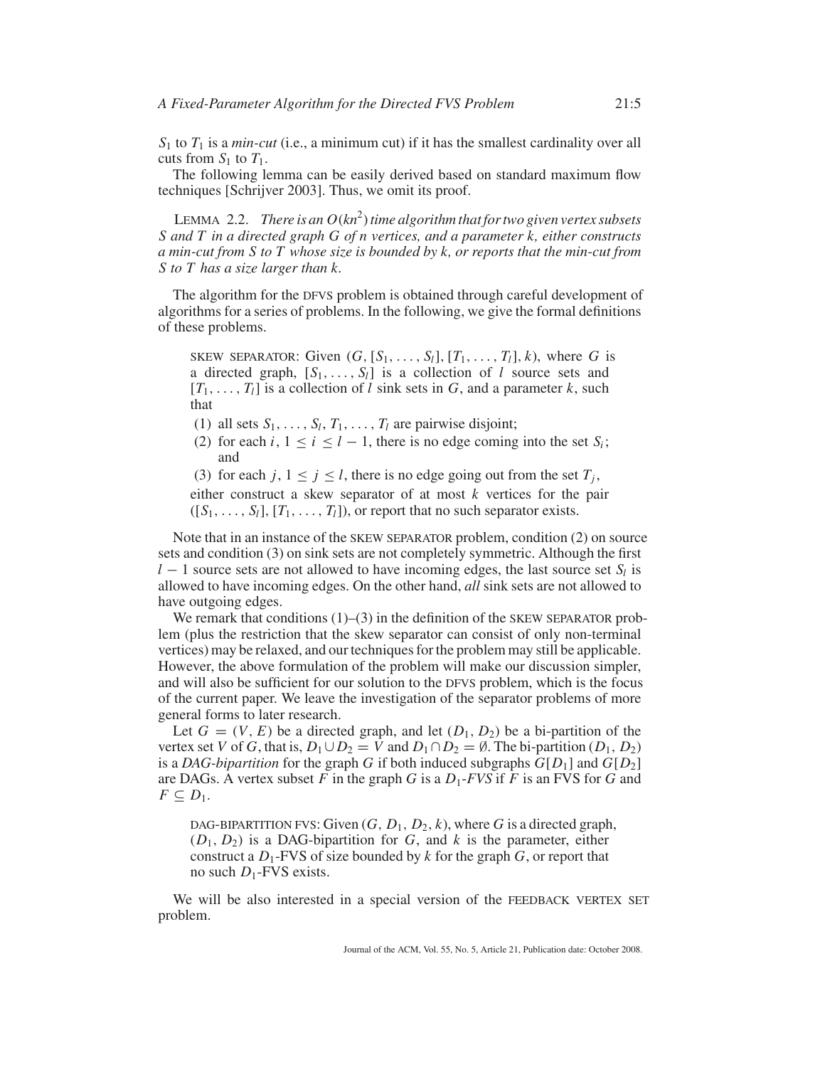$S_1$  to  $T_1$  is a *min-cut* (i.e., a minimum cut) if it has the smallest cardinality over all cuts from  $S_1$  to  $T_1$ .

The following lemma can be easily derived based on standard maximum flow techniques [Schrijver 2003]. Thus, we omit its proof.

LEMMA 2.2. *There is an O*(*kn*<sup>2</sup> )*time algorithm that for two given vertex subsets S and T in a directed graph G of n vertices, and a parameter k, either constructs a min-cut from S to T whose size is bounded by k, or reports that the min-cut from S to T has a size larger than k.*

The algorithm for the DFVS problem is obtained through careful development of algorithms for a series of problems. In the following, we give the formal definitions of these problems.

SKEW SEPARATOR: Given  $(G, [S_1, \ldots, S_l], [T_1, \ldots, T_l], k)$ , where *G* is a directed graph,  $[S_1, \ldots, S_l]$  is a collection of *l* source sets and  $[T_1, \ldots, T_l]$  is a collection of *l* sink sets in *G*, and a parameter *k*, such that

(1) all sets  $S_1, \ldots, S_l, T_1, \ldots, T_l$  are pairwise disjoint;

- (2) for each *i*,  $1 \le i \le l 1$ , there is no edge coming into the set  $S_i$ ; and
- (3) for each  $j, 1 \le j \le l$ , there is no edge going out from the set  $T_i$ ,

either construct a skew separator of at most *k* vertices for the pair  $([S_1, \ldots, S_l], [T_1, \ldots, T_l])$ , or report that no such separator exists.

Note that in an instance of the SKEW SEPARATOR problem, condition (2) on source sets and condition (3) on sink sets are not completely symmetric. Although the first *l* − 1 source sets are not allowed to have incoming edges, the last source set *S*<sub>*l*</sub> is allowed to have incoming edges. On the other hand, *all* sink sets are not allowed to have outgoing edges.

We remark that conditions  $(1)$ – $(3)$  in the definition of the SKEW SEPARATOR problem (plus the restriction that the skew separator can consist of only non-terminal vertices) may be relaxed, and our techniques for the problem may still be applicable. However, the above formulation of the problem will make our discussion simpler, and will also be sufficient for our solution to the DFVS problem, which is the focus of the current paper. We leave the investigation of the separator problems of more general forms to later research.

Let  $G = (V, E)$  be a directed graph, and let  $(D_1, D_2)$  be a bi-partition of the vertex set *V* of *G*, that is,  $D_1 \cup D_2 = V$  and  $D_1 \cap D_2 = \emptyset$ . The bi-partition  $(D_1, D_2)$ is a *DAG-bipartition* for the graph *G* if both induced subgraphs  $G[D_1]$  and  $G[D_2]$ are DAGs. A vertex subset  $F$  in the graph  $G$  is a  $D_1$ - $FVS$  if  $F$  is an FVS for  $G$  and  $F \subseteq D_1$ .

DAG-BIPARTITION FVS: Given  $(G, D_1, D_2, k)$ , where G is a directed graph,  $(D_1, D_2)$  is a DAG-bipartition for *G*, and *k* is the parameter, either construct a *D*1-FVS of size bounded by *k* for the graph *G*, or report that no such *D*<sub>1</sub>-FVS exists.

We will be also interested in a special version of the FEEDBACK VERTEX SET problem.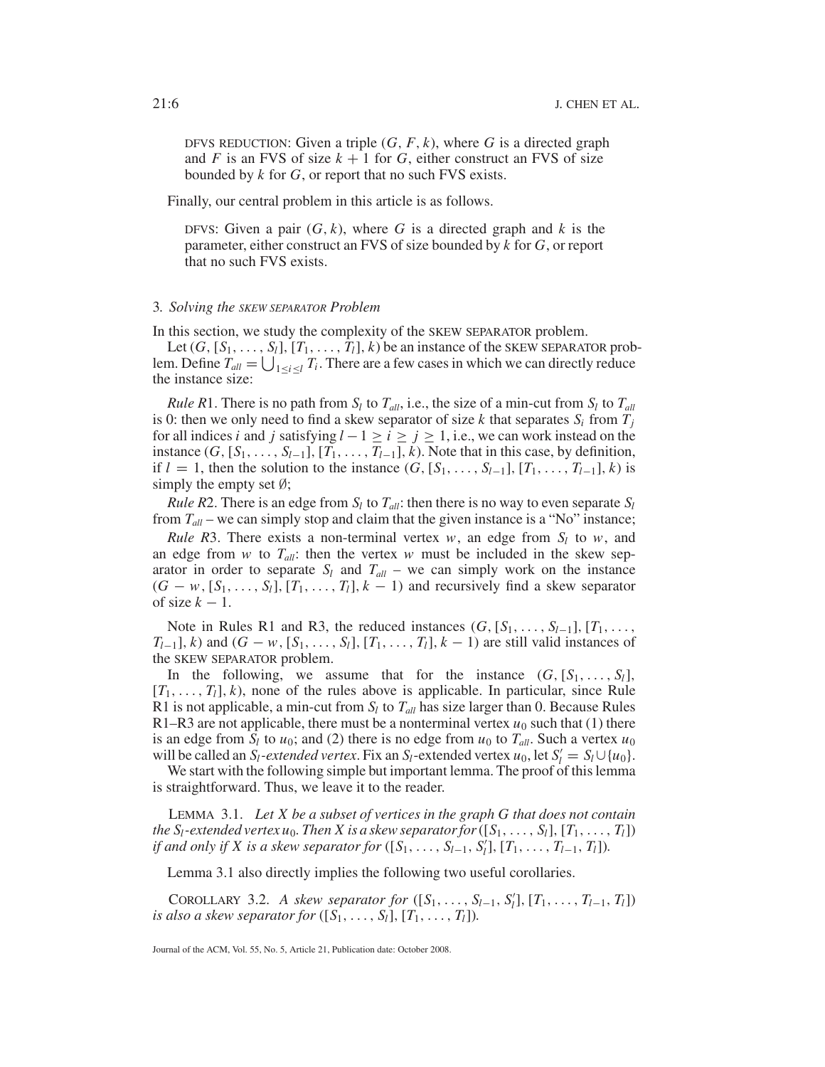DFVS REDUCTION: Given a triple  $(G, F, k)$ , where G is a directed graph and *F* is an FVS of size  $k + 1$  for *G*, either construct an FVS of size bounded by *k* for *G*, or report that no such FVS exists.

Finally, our central problem in this article is as follows.

DFVS: Given a pair  $(G, k)$ , where G is a directed graph and  $k$  is the parameter, either construct an FVS of size bounded by *k* for *G*, or report that no such FVS exists.

#### 3*. Solving the SKEW SEPARATOR Problem*

In this section, we study the complexity of the SKEW SEPARATOR problem.

Let  $(G, [S_1, \ldots, S_l], [T_1, \ldots, T_l], k)$  be an instance of the SKEW SEPARATOR problem. Define  $T_{all} = \bigcup_{1 \leq i \leq l} T_i$ . There are a few cases in which we can directly reduce the instance size:

*Rule R*1. There is no path from  $S_l$  to  $T_{all}$ , i.e., the size of a min-cut from  $S_l$  to  $T_{all}$ is 0: then we only need to find a skew separator of size  $k$  that separates  $S_i$  from  $T_j$ for all indices *i* and *j* satisfying  $l - 1 \ge i \ge j \ge 1$ , i.e., we can work instead on the instance  $(G, [S_1, \ldots, S_{l-1}], [T_1, \ldots, T_{l-1}], k$ ). Note that in this case, by definition, if  $l = 1$ , then the solution to the instance  $(G, [S_1, \ldots, S_{l-1}], [T_1, \ldots, T_{l-1}], k)$  is simply the empty set  $\emptyset$ ;

*Rule R*2. There is an edge from  $S_l$  to  $T_{all}$ : then there is no way to even separate  $S_l$ from  $T_{all}$  – we can simply stop and claim that the given instance is a "No" instance;

*Rule R*3. There exists a non-terminal vertex  $w$ , an edge from  $S_l$  to  $w$ , and an edge from  $w$  to  $T_{all}$ : then the vertex  $w$  must be included in the skew separator in order to separate  $S_l$  and  $T_{all}$  – we can simply work on the instance  $(G - w, [S_1, \ldots, S_l], [T_1, \ldots, T_l], k - 1)$  and recursively find a skew separator of size  $k - 1$ .

Note in Rules R1 and R3, the reduced instances  $(G, [S_1, \ldots, S_{l-1}], [T_1, \ldots,$  $T_{l-1}$ , *k*) and  $(G - w, [S_1, \ldots, S_l], [T_1, \ldots, T_l], k - 1)$  are still valid instances of the SKEW SEPARATOR problem.

In the following, we assume that for the instance  $(G, [S_1, \ldots, S_l])$  $[T_1, \ldots, T_l]$ , *k*), none of the rules above is applicable. In particular, since Rule R1 is not applicable, a min-cut from  $S_l$  to  $T_{all}$  has size larger than 0. Because Rules R1–R3 are not applicable, there must be a nonterminal vertex  $u_0$  such that (1) there is an edge from  $S_l$  to  $u_0$ ; and (2) there is no edge from  $u_0$  to  $T_{all}$ . Such a vertex  $u_0$ will be called an *S<sub>l</sub>*-extended vertex. Fix an *S*<sub>l</sub>-extended vertex *u*<sub>0</sub>, let  $S_l' = S_l \cup \{u_0\}$ .

We start with the following simple but important lemma. The proof of this lemma is straightforward. Thus, we leave it to the reader.

LEMMA 3.1. *Let X be a subset of vertices in the graph G that does not contain the*  $S_l$ -extended vertex  $u_0$ . Then X is a skew separator for  $([S_1, \ldots, S_l], [T_1, \ldots, T_l])$ *if and only if X is a skew separator for* ([ $S_1, ..., S_{l-1}, S_l$ ], [ $T_1, ..., T_{l-1}, T_l$ ]).

Lemma 3.1 also directly implies the following two useful corollaries.

COROLLARY 3.2. *A skew separator for*  $([S_1, ..., S_{l-1}, S'_l], [T_1, ..., T_{l-1}, T_l])$ *is also a skew separator for*  $([S_1, \ldots, S_l], [T_1, \ldots, T_l])$ .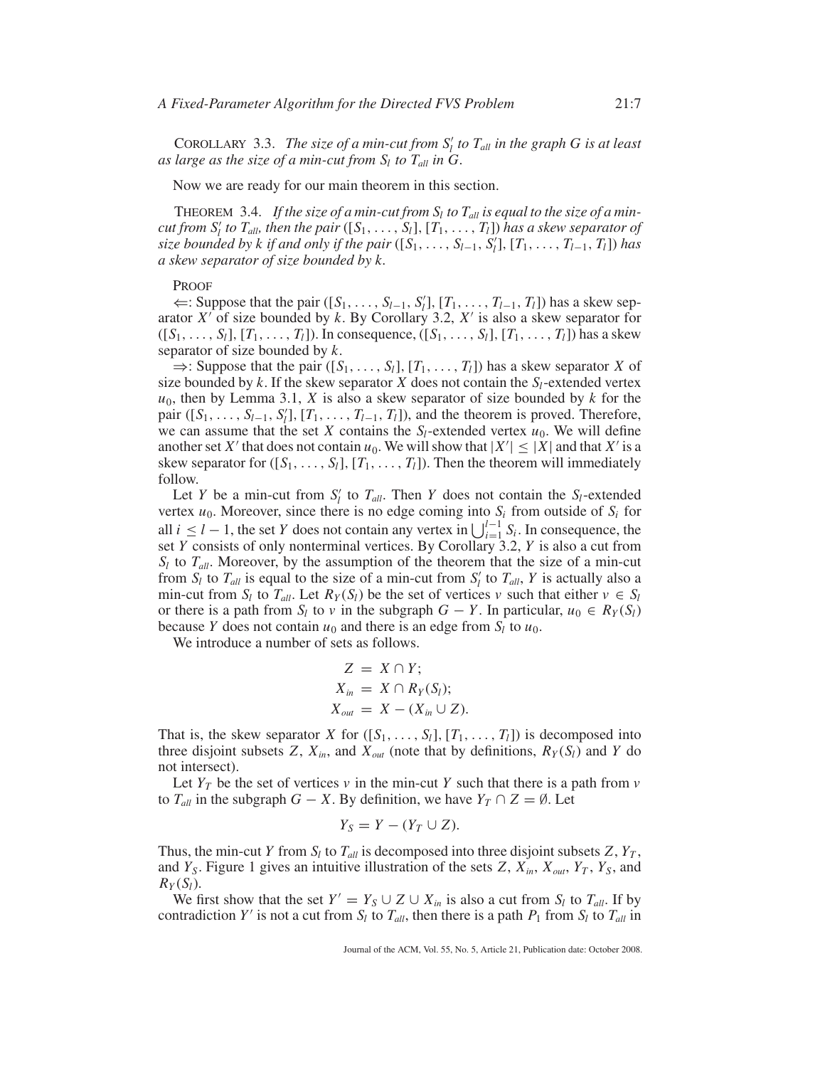COROLLARY 3.3. *The size of a min-cut from*  $S_l'$  *to*  $T_{all}$  *in the graph G is at least as large as the size of a min-cut from*  $S_l$  *to*  $T_{all}$  *in*  $G$ *.* 

Now we are ready for our main theorem in this section.

THEOREM 3.4. If the size of a min-cut from  $S_l$  to  $T_{all}$  is equal to the size of a min*cut from*  $S_l'$  *to T<sub>all</sub>, then the pair* ([ $S_1$ , ...,  $S_l$ ], [ $T_1$ , ...,  $T_l$ ]) *has a skew separator of size bounded by k if and only if the pair* ([ $S_1$ , ...,  $S_{l-1}$ ,  $S_l$ ], [ $T_1$ , ...,  $T_{l-1}$ ,  $T_l$ ]) has *a skew separator of size bounded by k.*

#### PROOF

 $\Leftarrow$ : Suppose that the pair ([*S*<sub>1</sub>, ..., *S*<sub>*l*−1</sub>, *S*<sub>*l*</sub>], [*T*<sub>1</sub>, ..., *T*<sub>*l*−1</sub>, *T*<sub>*l*</sub>]) has a skew separator  $X'$  of size bounded by  $k$ . By Corollary 3.2,  $X'$  is also a skew separator for  $([S_1, ..., S_l], [T_1, ..., T_l])$ . In consequence,  $([S_1, ..., S_l], [T_1, ..., T_l])$  has a skew separator of size bounded by *k*.

 $\Rightarrow$ : Suppose that the pair  $([S_1, \ldots, S_l], [T_1, \ldots, T_l])$  has a skew separator *X* of size bounded by  $k$ . If the skew separator  $X$  does not contain the  $S_l$ -extended vertex  $u_0$ , then by Lemma 3.1, *X* is also a skew separator of size bounded by *k* for the pair ([ $S_1$ , ...,  $S_{l-1}$ ,  $S'_l$ ], [ $T_1$ , ...,  $T_{l-1}$ ,  $T_l$ ]), and the theorem is proved. Therefore, we can assume that the set *X* contains the  $S_l$ -extended vertex  $u_0$ . We will define another set *X'* that does not contain  $u_0$ . We will show that  $|X'| \leq |X|$  and that *X'* is a skew separator for  $([S_1, \ldots, S_l], [T_1, \ldots, T_l])$ . Then the theorem will immediately follow.

Let *Y* be a min-cut from  $S_l'$  to  $T_{all}$ . Then *Y* does not contain the  $S_l$ -extended vertex  $u_0$ . Moreover, since there is no edge coming into  $S_i$  from outside of  $S_i$  for all *i* ≤ *l* − 1, the set *Y* does not contain any vertex in  $\bigcup_{i=1}^{l-1} S_i$ . In consequence, the set *Y* consists of only nonterminal vertices. By Corollary 3.2, *Y* is also a cut from  $S_l$  to  $T_{all}$ . Moreover, by the assumption of the theorem that the size of a min-cut from  $S_l$  to  $T_{all}$  is equal to the size of a min-cut from  $S_l'$  to  $T_{all}$ ,  $Y$  is actually also a min-cut from  $S_l$  to  $T_{all}$ . Let  $R_Y(S_l)$  be the set of vertices  $v$  such that either  $v \in S_l$ or there is a path from  $S_l$  to  $v$  in the subgraph  $G - Y$ . In particular,  $u_0 \in R_Y(S_l)$ because *Y* does not contain  $u_0$  and there is an edge from  $S_l$  to  $u_0$ .

We introduce a number of sets as follows.

$$
Z = X \cap Y;
$$
  
\n
$$
X_{in} = X \cap R_Y(S_l);
$$
  
\n
$$
X_{out} = X - (X_{in} \cup Z).
$$

That is, the skew separator *X* for  $([S_1, \ldots, S_l], [T_1, \ldots, T_l])$  is decomposed into three disjoint subsets *Z*,  $X_{in}$ , and  $X_{out}$  (note that by definitions,  $R_Y(S_i)$  and *Y* do not intersect).

Let  $Y_T$  be the set of vertices  $\nu$  in the min-cut  $Y$  such that there is a path from  $\nu$ to  $T_{all}$  in the subgraph  $G - X$ . By definition, we have  $Y_T \cap Z = \emptyset$ . Let

$$
Y_S = Y - (Y_T \cup Z).
$$

Thus, the min-cut *Y* from  $S_l$  to  $T_{all}$  is decomposed into three disjoint subsets  $Z$ ,  $Y_T$ , and  $Y_S$ . Figure 1 gives an intuitive illustration of the sets  $Z$ ,  $X_{in}$ ,  $X_{out}$ ,  $Y_T$ ,  $Y_S$ , and  $R_Y(S_l)$ .

We first show that the set  $Y' = Y_S \cup Z \cup X_{in}$  is also a cut from  $S_l$  to  $T_{all}$ . If by contradiction *Y'* is not a cut from  $S_l$  to  $T_{all}$ , then there is a path  $P_1$  from  $S_l$  to  $T_{all}$  in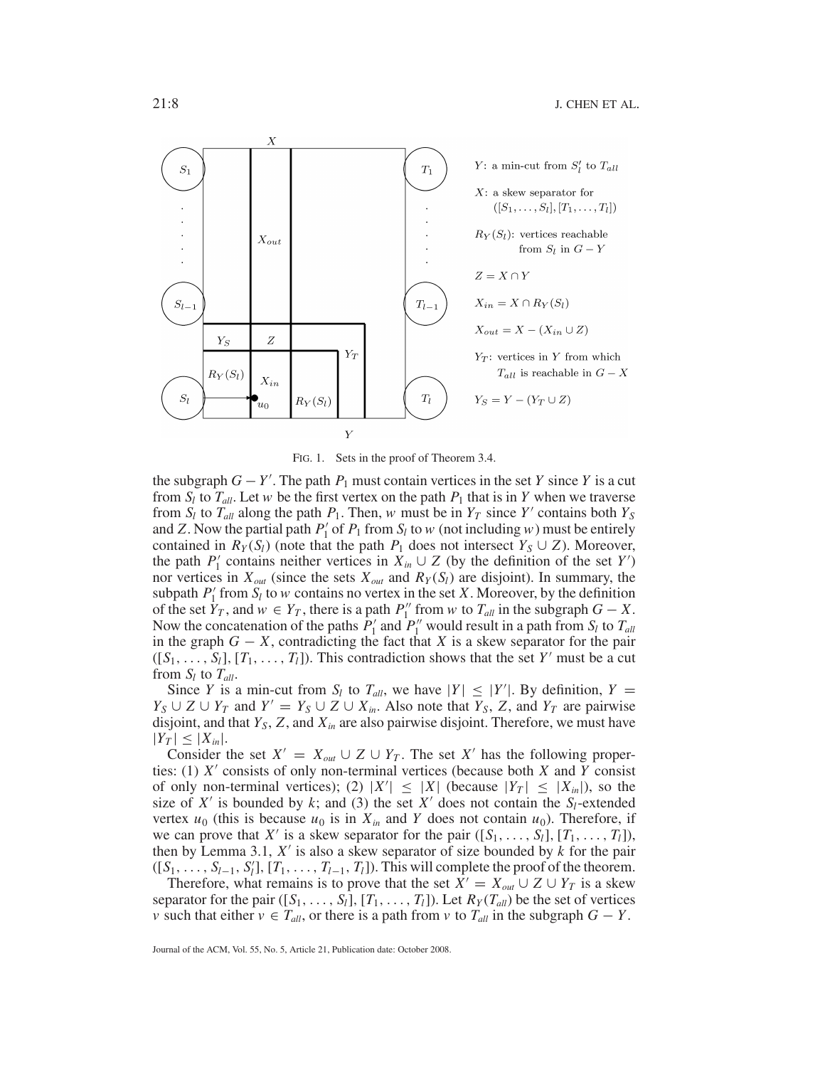

FIG. 1. Sets in the proof of Theorem 3.4.

the subgraph  $G - Y'$ . The path  $P_1$  must contain vertices in the set *Y* since *Y* is a cut from  $S_l$  to  $T_{all}$ . Let *w* be the first vertex on the path  $P_1$  that is in *Y* when we traverse from  $S_l$  to  $T_{all}$  along the path  $P_1$ . Then, *w* must be in  $Y_T$  since  $Y'$  contains both  $Y_S$ and *Z*. Now the partial path  $P'_1$  of  $P_1$  from  $S_l$  to  $w$  (not including  $w$ ) must be entirely contained in  $R_Y(S_l)$  (note that the path  $P_1$  does not intersect  $Y_S \cup Z$ ). Moreover, the path *P*<sup>1</sup> contains neither vertices in  $X_{in} \cup Z$  (by the definition of the set *Y*<sup>'</sup>) nor vertices in  $X_{out}$  (since the sets  $X_{out}$  and  $R_Y(S_l)$  are disjoint). In summary, the subpath  $P_1'$  from  $S_l$  to *w* contains no vertex in the set *X*. Moreover, by the definition of the set  $Y_T$ , and  $w \in Y_T$ , there is a path  $P_1''$  from  $w$  to  $T_{all}$  in the subgraph  $G - X$ . Now the concatenation of the paths  $\hat{P}_1'$  and  $P_1''$  would result in a path from  $S_l$  to  $T_{all}$ in the graph  $G - X$ , contradicting the fact that *X* is a skew separator for the pair  $([S_1, \ldots, S_l], [T_1, \ldots, T_l])$ . This contradiction shows that the set *Y'* must be a cut from  $S_l$  to  $T_{all}$ .

Since *Y* is a min-cut from  $S_l$  to  $T_{all}$ , we have  $|Y| \leq |Y'|$ . By definition,  $Y =$ *Y<sub>S</sub>* ∪ *Z* ∪ *Y<sub>T</sub>* and *Y'* = *Y<sub>S</sub>* ∪ *Z* ∪ *X<sub>in</sub>*. Also note that *Y<sub>S</sub>*, *Z*, and *Y<sub>T</sub>* are pairwise disjoint, and that  $Y_s$ ,  $Z$ , and  $X_{in}$  are also pairwise disjoint. Therefore, we must have  $|Y_T| \leq |X_{in}|$ .

Consider the set  $X' = X_{out} \cup Z \cup Y_T$ . The set X' has the following properties: (1) *X* consists of only non-terminal vertices (because both *X* and *Y* consist of only non-terminal vertices); (2)  $|X'| \leq |X|$  (because  $|Y_T| \leq |X_{in}|$ ), so the size of  $X'$  is bounded by  $k$ ; and (3) the set  $X'$  does not contain the  $S_l$ -extended vertex  $u_0$  (this is because  $u_0$  is in  $X_{in}$  and *Y* does not contain  $u_0$ ). Therefore, if we can prove that *X'* is a skew separator for the pair  $([S_1, \ldots, S_l], [T_1, \ldots, T_l])$ , then by Lemma 3.1,  $X'$  is also a skew separator of size bounded by  $k$  for the pair  $([S_1, \ldots, S_{l-1}, S'_l], [T_1, \ldots, T_{l-1}, T_l])$ . This will complete the proof of the theorem.

Therefore, what remains is to prove that the set  $X' = X_{out} \cup Z \cup Y_T$  is a skew separator for the pair  $([S_1, \ldots, S_l], [T_1, \ldots, T_l])$ . Let  $R_Y(T_{all})$  be the set of vertices *v* such that either  $v \in T_{all}$ , or there is a path from *v* to  $T_{all}$  in the subgraph  $G - Y$ .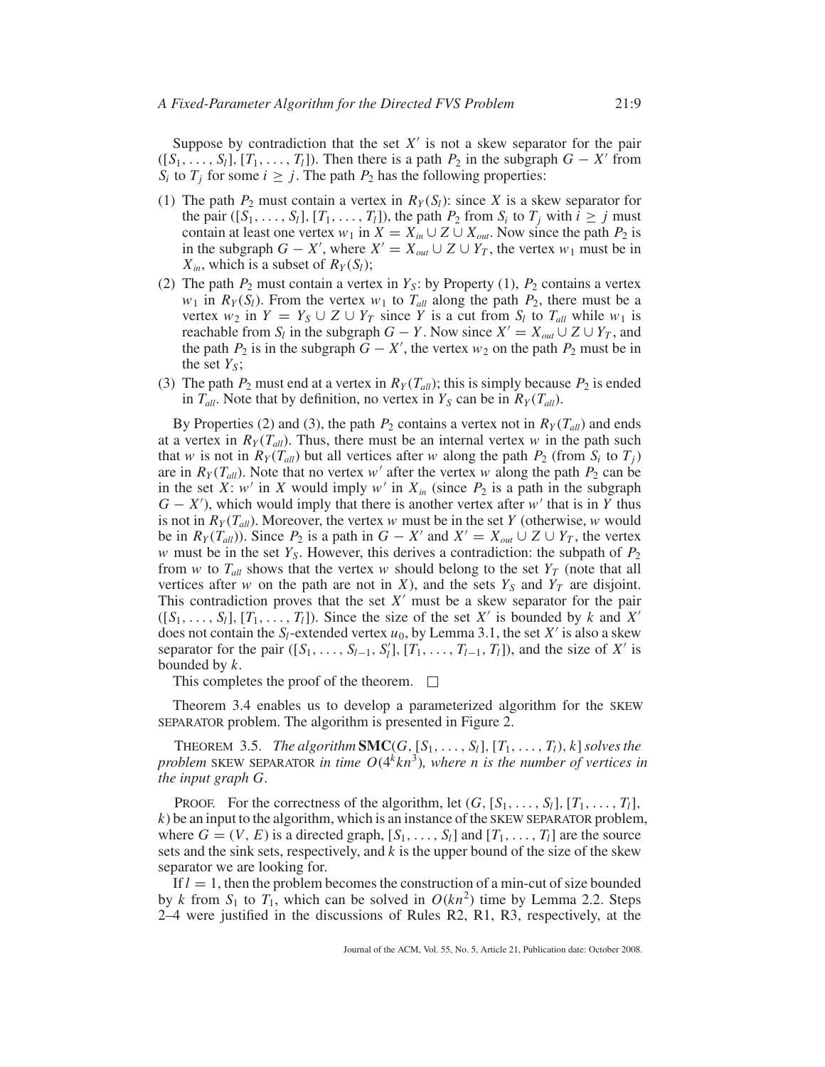Suppose by contradiction that the set  $X'$  is not a skew separator for the pair  $([S_1, \ldots, S_l], [T_1, \ldots, T_l])$ . Then there is a path  $P_2$  in the subgraph  $G - X'$  from *S<sub>i</sub>* to  $T_j$  for some  $i \geq j$ . The path  $P_2$  has the following properties:

- (1) The path  $P_2$  must contain a vertex in  $R_Y(S_l)$ : since X is a skew separator for the pair  $([S_1, \ldots, S_l], [T_1, \ldots, T_l])$ , the path  $P_2$  from  $S_i$  to  $T_j$  with  $i \geq j$  must contain at least one vertex  $w_1$  in  $X = X_{in} \cup Z \cup X_{out}$ . Now since the path  $P_2$  is in the subgraph  $G - X'$ , where  $X' = X_{out} \cup Z \cup Y_T$ , the vertex  $w_1$  must be in  $X_{in}$ , which is a subset of  $R_Y(S_l)$ ;
- (2) The path  $P_2$  must contain a vertex in  $Y_s$ : by Property (1),  $P_2$  contains a vertex *w*<sub>1</sub> in  $R_Y(S_i)$ . From the vertex *w*<sub>1</sub> to  $T_{all}$  along the path  $P_2$ , there must be a vertex  $w_2$  in  $Y = Y_S \cup Z \cup Y_T$  since *Y* is a cut from  $S_l$  to  $T_{all}$  while  $w_1$  is reachable from *S<sub>l</sub>* in the subgraph *G* − *Y*. Now since  $X' = X_{out} \cup Z \cup Y_T$ , and the path  $P_2$  is in the subgraph  $\tilde{G} - X'$ , the vertex  $w_2$  on the path  $P_2$  must be in the set  $Y_s$ ;
- (3) The path  $P_2$  must end at a vertex in  $R_Y(T_{all})$ ; this is simply because  $P_2$  is ended in  $T_{all}$ . Note that by definition, no vertex in  $Y_S$  can be in  $R_Y(T_{all})$ .

By Properties (2) and (3), the path  $P_2$  contains a vertex not in  $R_y(T_{all})$  and ends at a vertex in  $R_Y(T_{all})$ . Thus, there must be an internal vertex *w* in the path such that *w* is not in  $R_Y(T_{all})$  but all vertices after *w* along the path  $P_2$  (from  $S_i$  to  $T_j$ ) are in  $R_Y(T_{all})$ . Note that no vertex *w'* after the vertex *w* along the path  $P_2$  can be in the set *X*: *w'* in *X* would imply *w'* in  $X_{in}$  (since  $P_2$  is a path in the subgraph  $G - X'$ , which would imply that there is another vertex after *w'* that is in *Y* thus is not in  $R_Y(T_{all})$ . Moreover, the vertex *w* must be in the set *Y* (otherwise, *w* would be in  $R_Y(T_{all})$ ). Since  $P_2$  is a path in  $G - X'$  and  $X' = X_{out} \cup Z \cup Y_T$ , the vertex *w* must be in the set  $Y_s$ . However, this derives a contradiction: the subpath of  $P_2$ from *w* to  $T_{all}$  shows that the vertex *w* should belong to the set  $Y_T$  (note that all vertices after *w* on the path are not in *X*), and the sets  $Y_S$  and  $Y_T$  are disjoint. This contradiction proves that the set  $X'$  must be a skew separator for the pair  $([S_1, \ldots, S_l], [T_1, \ldots, T_l])$ . Since the size of the set X' is bounded by k and X' does not contain the  $S_l$ -extended vertex  $u_0$ , by Lemma 3.1, the set  $X'$  is also a skew separator for the pair  $([S_1, \ldots, S_{l-1}, S_l'], [T_1, \ldots, T_{l-1}, T_l])$ , and the size of *X'* is bounded by *k*.

This completes the proof of the theorem.  $\Box$ 

Theorem 3.4 enables us to develop a parameterized algorithm for the SKEW SEPARATOR problem. The algorithm is presented in Figure 2.

**THEOREM** 3.5. *The algorithm* **SMC**(*G*,  $[S_1, \ldots, S_l]$ ,  $[T_1, \ldots, T_l)$ , *k*] *solves the problem* SKEW SEPARATOR *in time*  $O(4^k kn^3)$ *, where n is the number of vertices in the input graph G.*

PROOF. For the correctness of the algorithm, let  $(G, [S_1, \ldots, S_l], [T_1, \ldots, T_l],$ *k*) be an input to the algorithm, which is an instance of the SKEW SEPARATOR problem, where  $G = (V, E)$  is a directed graph,  $[S_1, \ldots, S_l]$  and  $[T_1, \ldots, T_l]$  are the source sets and the sink sets, respectively, and *k* is the upper bound of the size of the skew separator we are looking for.

If  $l = 1$ , then the problem becomes the construction of a min-cut of size bounded by *k* from  $S_1$  to  $T_1$ , which can be solved in  $O(kn^2)$  time by Lemma 2.2. Steps 2–4 were justified in the discussions of Rules R2, R1, R3, respectively, at the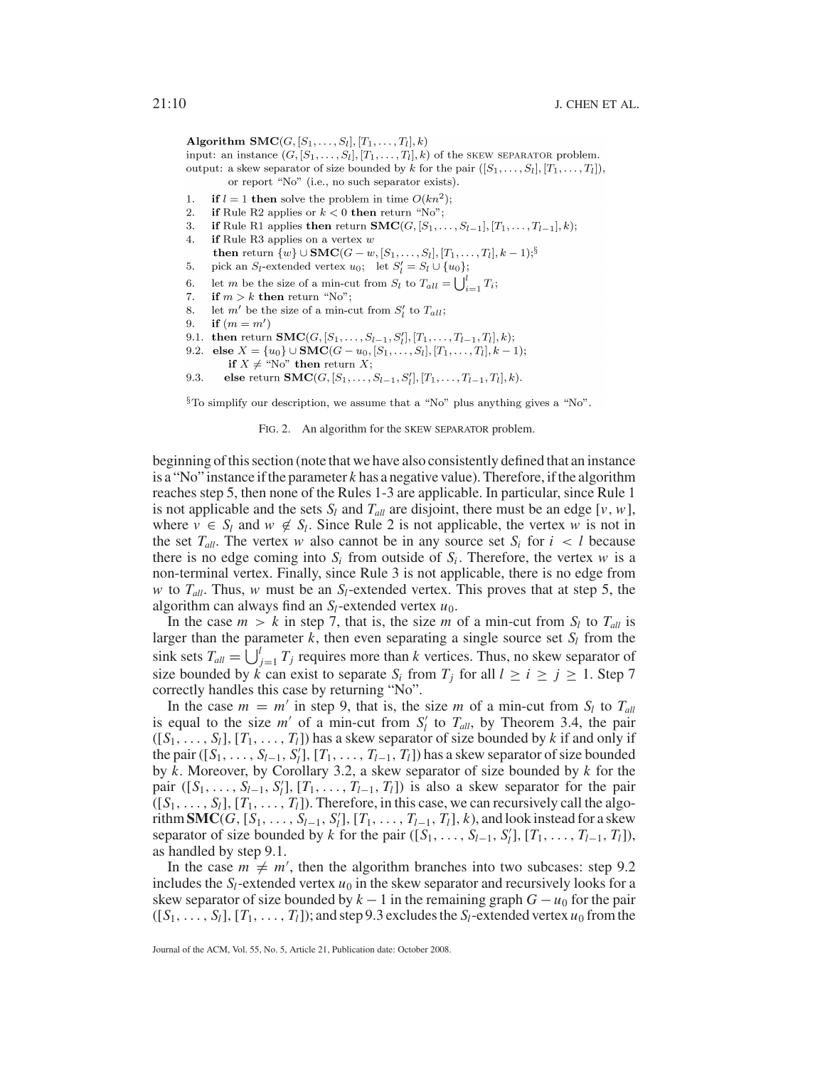Algorithm  $\textbf{SMC}(G, [S_1, \ldots, S_l], [T_1, \ldots, T_l], k)$ 

input: an instance  $(G, [S_1, \ldots, S_l], [T_1, \ldots, T_l], k)$  of the SKEW SEPARATOR problem. output: a skew separator of size bounded by k for the pair  $([S_1, \ldots, S_l], [T_1, \ldots, T_l]),$ or report "No" (i.e., no such separator exists).

- if  $l = 1$  then solve the problem in time  $O(kn^2)$ ;  $\mathbf{1}$ .
- $\overline{2}$ . if Rule R2 applies or  $k < 0$  then return "No";
- 3. if Rule R1 applies then return  $\mathbf{SMC}(G, [S_1, \ldots, S_{l-1}], [T_1, \ldots, T_{l-1}], k);$
- if Rule R3 applies on a vertex  $w$  $\overline{4}$ . then return  $\{w\} \cup \textbf{SMC}(G-w, [S_1, \ldots, S_l], [T_1, \ldots, T_l], k-1)\}^{\S}$
- 5. pick an  $S_l$ -extended vertex  $u_0$ ; let  $S'_l = S_l \cup \{u_0\}$ ;
- let m be the size of a min-cut from  $S_l$  to  $T_{all} = \bigcup_{i=1}^l T_i$ ; 6.
- if  $m > k$  then return "No"; 7.
- let m' be the size of a min-cut from  $S'_i$  to  $T_{all}$ ; 8.
- 9. if  $(m = m')$
- 9.1. then return  $\textbf{SMC}(G, [S_1, \ldots, S_{l-1}, S_l'], [T_1, \ldots, T_{l-1}, T_l], k);$
- 9.2. else  $X = \{u_0\} \cup \text{SMC}(G u_0, [S_1, \ldots, S_l], [T_1, \ldots, T_l], k 1);$ 
	- if  $X \neq$  "No" then return X;
- else return  $\textbf{SMC}(G, [S_1, \ldots, S_{l-1}, S_l'], [T_1, \ldots, T_{l-1}, T_l], k).$ 9.3.

 $\S$ To simplify our description, we assume that a "No" plus anything gives a "No".

FIG. 2. An algorithm for the SKEW SEPARATOR problem.

beginning of this section (note that we have also consistently defined that an instance is a "No" instance if the parameter *k* has a negative value). Therefore, if the algorithm reaches step 5, then none of the Rules 1-3 are applicable. In particular, since Rule 1 is not applicable and the sets  $S_l$  and  $T_{all}$  are disjoint, there must be an edge [ $v$ ,  $w$ ], where  $v \in S_l$  and  $w \notin S_l$ . Since Rule 2 is not applicable, the vertex *w* is not in the set  $T_{all}$ . The vertex *w* also cannot be in any source set  $S_i$  for  $i < l$  because there is no edge coming into  $S_i$  from outside of  $S_i$ . Therefore, the vertex *w* is a non-terminal vertex. Finally, since Rule 3 is not applicable, there is no edge from *w* to  $T_{all}$ . Thus, *w* must be an  $S_l$ -extended vertex. This proves that at step 5, the algorithm can always find an  $S_l$ -extended vertex  $u_0$ .

In the case  $m > k$  in step 7, that is, the size *m* of a min-cut from  $S_l$  to  $T_{all}$  is larger than the parameter  $k$ , then even separating a single source set  $S_l$  from the sink sets  $T_{all} = \bigcup_{j=1}^{l} T_j$  requires more than *k* vertices. Thus, no skew separator of size bounded by  $\vec{k}$  can exist to separate  $S_i$  from  $T_j$  for all  $l \ge i \ge j \ge 1$ . Step 7 correctly handles this case by returning "No".

In the case  $m = m'$  in step 9, that is, the size m of a min-cut from  $S_l$  to  $T_{all}$ is equal to the size  $m'$  of a min-cut from  $S_l'$  to  $T_{all}$ , by Theorem 3.4, the pair  $([S_1, \ldots, S_l], [T_1, \ldots, T_l])$  has a skew separator of size bounded by *k* if and only if the pair ( $[S_1, \ldots, S_{l-1}, S_l']$ ,  $[T_1, \ldots, T_{l-1}, T_l]$ ) has a skew separator of size bounded by *k*. Moreover, by Corollary 3.2, a skew separator of size bounded by *k* for the pair  $([S_1, \ldots, S_{l-1}, S_l'], [T_1, \ldots, T_{l-1}, T_l])$  is also a skew separator for the pair  $([S_1, \ldots, S_l], [T_1, \ldots, T_l])$ . Therefore, in this case, we can recursively call the algorithm **SMC**( $G$ ,  $[S_1, \ldots, S_{l-1}, S_l']$ ,  $[T_1, \ldots, T_{l-1}, T_l]$ ,  $k$ ), and look instead for a skew separator of size bounded by *k* for the pair ([ $S_1$ , ...,  $S_{l-1}$ ,  $S_l'$ ], [ $T_1$ , ...,  $T_{l-1}$ ,  $T_l$ ]), as handled by step 9.1.

In the case  $m \neq m'$ , then the algorithm branches into two subcases: step 9.2 includes the  $S_l$ -extended vertex  $u_0$  in the skew separator and recursively looks for a skew separator of size bounded by  $k - 1$  in the remaining graph  $G - u_0$  for the pair  $([S_1, \ldots, S_l], [T_1, \ldots, T_l])$ ; and step 9.3 excludes the  $S_l$ -extended vertex  $u_0$  from the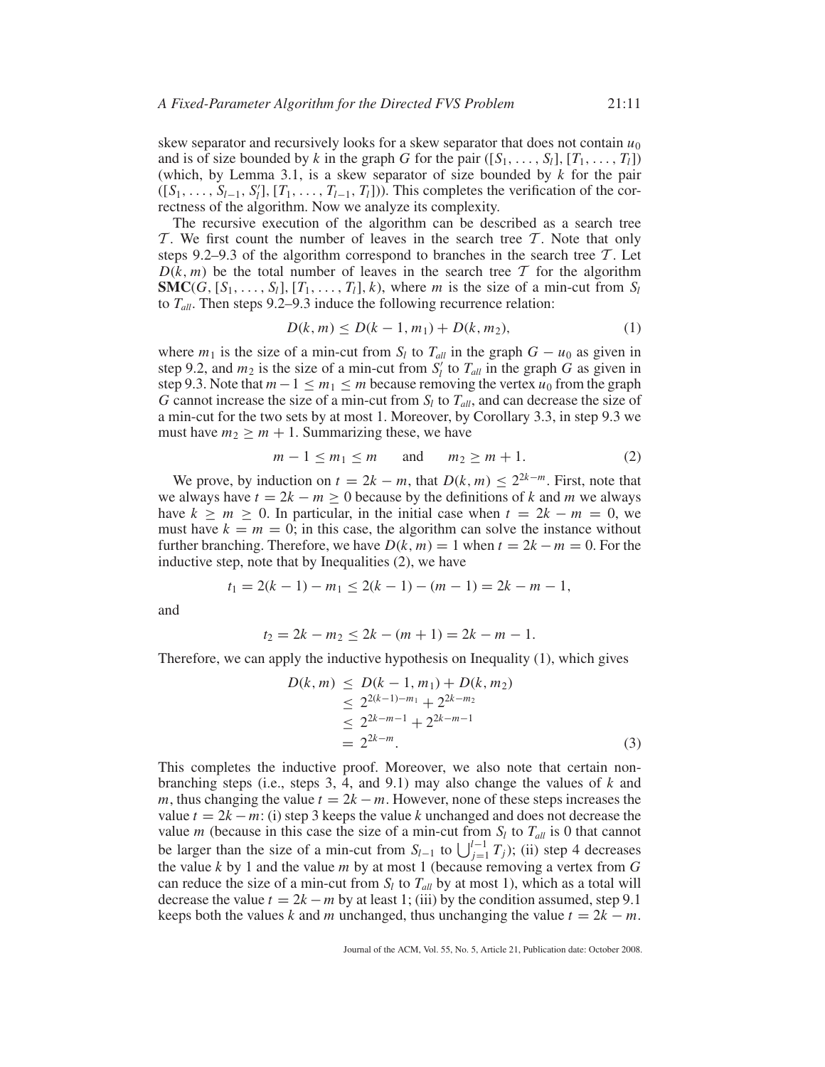skew separator and recursively looks for a skew separator that does not contain  $u_0$ and is of size bounded by k in the graph G for the pair  $([S_1, \ldots, S_l], [T_1, \ldots, T_l])$ (which, by Lemma 3.1, is a skew separator of size bounded by *k* for the pair  $([S_1, \ldots, S_{l-1}, S'_l], [T_1, \ldots, T_{l-1}, T_l])$ . This completes the verification of the correctness of the algorithm. Now we analyze its complexity.

The recursive execution of the algorithm can be described as a search tree  $\mathcal T$ . We first count the number of leaves in the search tree  $\mathcal T$ . Note that only steps 9.2–9.3 of the algorithm correspond to branches in the search tree  $\mathcal{T}$ . Let  $D(k, m)$  be the total number of leaves in the search tree T for the algorithm **SMC**(*G*,  $[S_1, \ldots, S_l]$ ,  $[T_1, \ldots, T_l]$ , *k*), where *m* is the size of a min-cut from  $S_l$ to *Tall*. Then steps 9.2–9.3 induce the following recurrence relation:

$$
D(k, m) \le D(k - 1, m_1) + D(k, m_2),\tag{1}
$$

where  $m_1$  is the size of a min-cut from  $S_l$  to  $T_{all}$  in the graph  $G - u_0$  as given in step 9.2, and  $m_2$  is the size of a min-cut from  $S_l^{\prime}$  to  $T_{all}$  in the graph *G* as given in step 9.3. Note that  $m-1 \le m_1 \le m$  because removing the vertex  $u_0$  from the graph *G* cannot increase the size of a min-cut from *Sl* to *Tall*, and can decrease the size of a min-cut for the two sets by at most 1. Moreover, by Corollary 3.3, in step 9.3 we must have  $m_2 \ge m + 1$ . Summarizing these, we have

$$
m-1 \le m_1 \le m \qquad \text{and} \qquad m_2 \ge m+1. \tag{2}
$$

We prove, by induction on  $t = 2k - m$ , that  $D(k, m) \leq 2^{2k-m}$ . First, note that we always have  $t = 2k - m \ge 0$  because by the definitions of k and m we always have  $k \ge m \ge 0$ . In particular, in the initial case when  $t = 2k - m = 0$ , we must have  $k = m = 0$ ; in this case, the algorithm can solve the instance without further branching. Therefore, we have  $D(k, m) = 1$  when  $t = 2k - m = 0$ . For the inductive step, note that by Inequalities (2), we have

$$
t_1 = 2(k - 1) - m_1 \le 2(k - 1) - (m - 1) = 2k - m - 1,
$$

and

$$
t_2 = 2k - m_2 \le 2k - (m+1) = 2k - m - 1.
$$

Therefore, we can apply the inductive hypothesis on Inequality (1), which gives

$$
D(k, m) \leq D(k - 1, m_1) + D(k, m_2)
$$
  
\n
$$
\leq 2^{2(k-1)-m_1} + 2^{2k-m_2}
$$
  
\n
$$
\leq 2^{2k-m-1} + 2^{2k-m-1}
$$
  
\n
$$
= 2^{2k-m}.
$$
\n(3)

This completes the inductive proof. Moreover, we also note that certain nonbranching steps (i.e., steps 3, 4, and 9.1) may also change the values of *k* and *m*, thus changing the value  $t = 2k - m$ . However, none of these steps increases the value  $t = 2k - m$ : (i) step 3 keeps the value k unchanged and does not decrease the value *m* (because in this case the size of a min-cut from  $S_l$  to  $T_{all}$  is 0 that cannot be larger than the size of a min-cut from  $S_{l-1}$  to  $\bigcup_{j=1}^{l-1} T_j$ ; (ii) step 4 decreases the value *k* by 1 and the value *m* by at most 1 (because removing a vertex from *G* can reduce the size of a min-cut from  $S_l$  to  $T_{all}$  by at most 1), which as a total will decrease the value  $t = 2k - m$  by at least 1; (iii) by the condition assumed, step 9.1 keeps both the values *k* and *m* unchanged, thus unchanging the value  $t = 2k - m$ .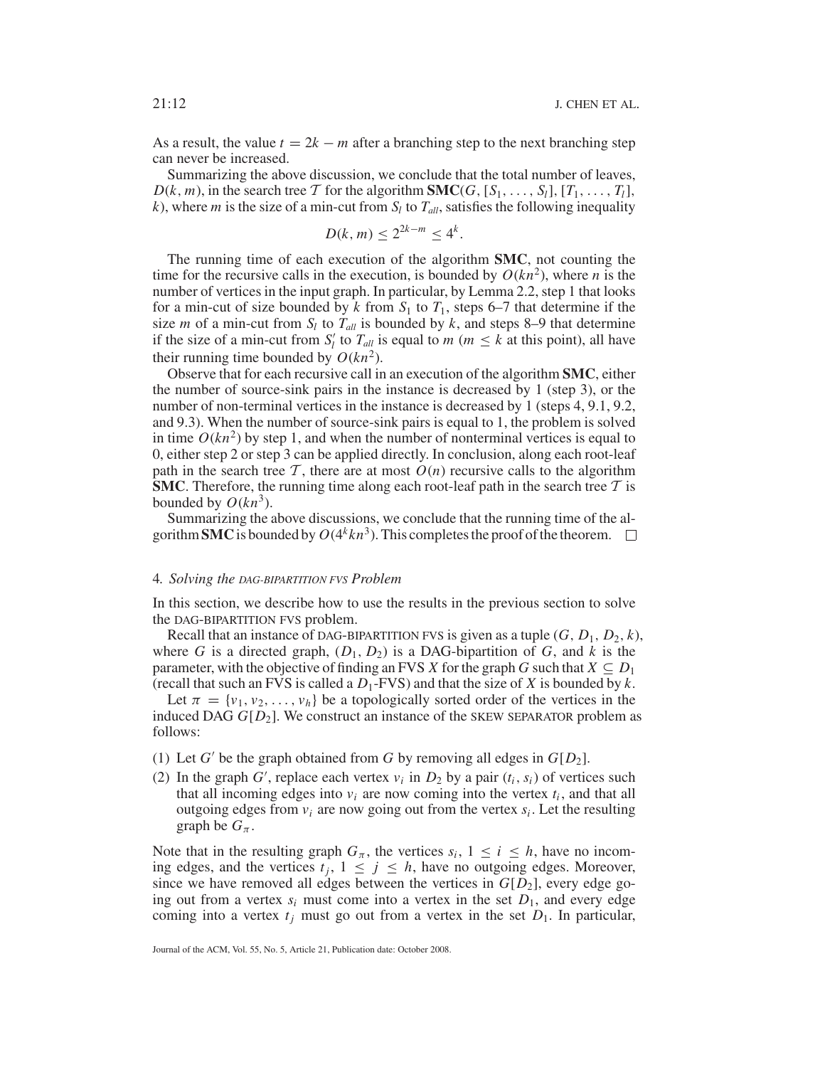As a result, the value  $t = 2k - m$  after a branching step to the next branching step can never be increased.

Summarizing the above discussion, we conclude that the total number of leaves,  $D(k, m)$ , in the search tree T for the algorithm **SMC**(*G*,  $[S_1, \ldots, S_l]$ ,  $[T_1, \ldots, T_l]$ , *k*), where *m* is the size of a min-cut from  $S_l$  to  $T_{all}$ , satisfies the following inequality

$$
D(k, m) \le 2^{2k-m} \le 4^k.
$$

The running time of each execution of the algorithm **SMC**, not counting the time for the recursive calls in the execution, is bounded by  $O(kn^2)$ , where *n* is the number of vertices in the input graph. In particular, by Lemma 2.2, step 1 that looks for a min-cut of size bounded by  $k$  from  $S_1$  to  $T_1$ , steps 6–7 that determine if the size *m* of a min-cut from  $S_l$  to  $T_{all}$  is bounded by *k*, and steps 8–9 that determine if the size of a min-cut from  $S_l'$  to  $T_{all}$  is equal to  $m$  ( $m \leq k$  at this point), all have their running time bounded by  $O(kn^2)$ .

Observe that for each recursive call in an execution of the algorithm **SMC**, either the number of source-sink pairs in the instance is decreased by 1 (step 3), or the number of non-terminal vertices in the instance is decreased by 1 (steps 4, 9.1, 9.2, and 9.3). When the number of source-sink pairs is equal to 1, the problem is solved in time  $O(kn^2)$  by step 1, and when the number of nonterminal vertices is equal to 0, either step 2 or step 3 can be applied directly. In conclusion, along each root-leaf path in the search tree  $\mathcal T$ , there are at most  $O(n)$  recursive calls to the algorithm **SMC**. Therefore, the running time along each root-leaf path in the search tree  $T$  is bounded by  $O(kn^3)$ .

Summarizing the above discussions, we conclude that the running time of the algorithm **SMC** is bounded by  $O(4^k kn^3)$ . This completes the proof of the theorem.  $\Box$ 

#### 4*. Solving the DAG-BIPARTITION FVS Problem*

In this section, we describe how to use the results in the previous section to solve the DAG-BIPARTITION FVS problem.

Recall that an instance of DAG-BIPARTITION FVS is given as a tuple  $(G, D_1, D_2, k)$ , where *G* is a directed graph,  $(D_1, D_2)$  is a DAG-bipartition of *G*, and *k* is the parameter, with the objective of finding an FVS *X* for the graph *G* such that  $X \subseteq D_1$ (recall that such an FVS is called a  $D_1$ -FVS) and that the size of *X* is bounded by *k*.

Let  $\pi = \{v_1, v_2, \ldots, v_h\}$  be a topologically sorted order of the vertices in the induced DAG *G*[*D*2]. We construct an instance of the SKEW SEPARATOR problem as follows:

- (1) Let *G'* be the graph obtained from *G* by removing all edges in  $G[D_2]$ .
- (2) In the graph *G*', replace each vertex  $v_i$  in  $D_2$  by a pair  $(t_i, s_i)$  of vertices such that all incoming edges into  $v_i$  are now coming into the vertex  $t_i$ , and that all outgoing edges from  $v_i$  are now going out from the vertex  $s_i$ . Let the resulting graph be  $G_\pi$ .

Note that in the resulting graph  $G_\pi$ , the vertices  $s_i$ ,  $1 \le i \le h$ , have no incoming edges, and the vertices  $t_j$ ,  $1 \leq j \leq h$ , have no outgoing edges. Moreover, since we have removed all edges between the vertices in  $G[D_2]$ , every edge going out from a vertex  $s_i$  must come into a vertex in the set  $D_1$ , and every edge coming into a vertex  $t_i$  must go out from a vertex in the set  $D_1$ . In particular,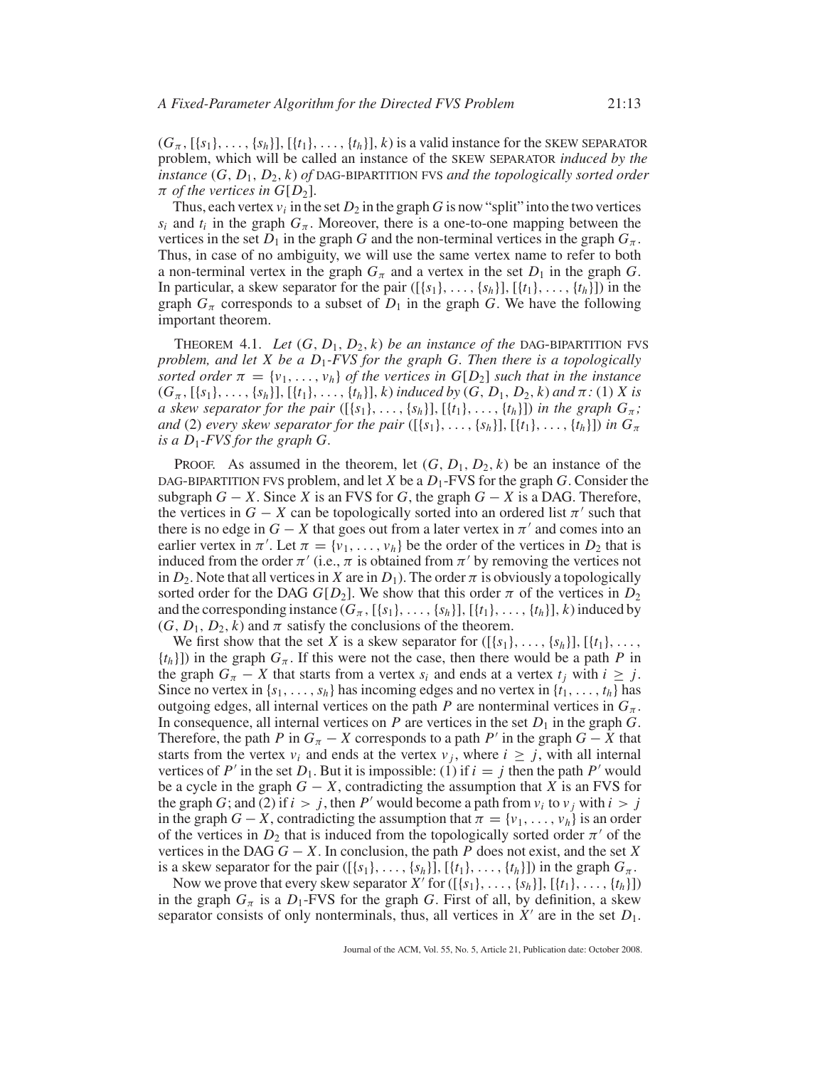$(G_{\pi}, \{\{s_1\}, \ldots, \{s_h\}\}, \{\{t_1\}, \ldots, \{t_h\}\}, k)$  is a valid instance for the SKEW SEPARATOR problem, which will be called an instance of the SKEW SEPARATOR *induced by the instance* (*G*, *D*1, *D*2, *k*) *of* DAG-BIPARTITION FVS *and the topologically sorted order*  $\pi$  *of the vertices in G[D<sub>2</sub>].* 

Thus, each vertex  $v_i$  in the set  $D_2$  in the graph *G* is now "split" into the two vertices  $s_i$  and  $t_i$  in the graph  $G_\pi$ . Moreover, there is a one-to-one mapping between the vertices in the set  $D_1$  in the graph *G* and the non-terminal vertices in the graph  $G_\pi$ . Thus, in case of no ambiguity, we will use the same vertex name to refer to both a non-terminal vertex in the graph  $G_\pi$  and a vertex in the set  $D_1$  in the graph  $G$ . In particular, a skew separator for the pair  $([\{s_1\}, \ldots, \{s_h\}],[\{t_1\}, \ldots, \{t_h\}])$  in the graph  $G_\pi$  corresponds to a subset of  $D_1$  in the graph *G*. We have the following important theorem.

THEOREM 4.1. Let  $(G, D_1, D_2, k)$  be an instance of the DAG-BIPARTITION FVS *problem, and let X be a D*1*-FVS for the graph G. Then there is a topologically sorted order*  $\pi = \{v_1, \ldots, v_h\}$  *of the vertices in*  $G[D_2]$  *such that in the instance*  $(G_{\pi}, \{\{s_1\}, \ldots, \{s_h\}\}, \{\{t_1\}, \ldots, \{t_h\}\}, k)$  *induced by*  $(G, D_1, D_2, k)$  *and*  $\pi$ : (1) *X is a* skew separator for the pair  $([\{s_1\}, \ldots, \{s_h\}],[\{t_1\}, \ldots, \{t_h\}])$  in the graph  $G_{\pi}$ ; *and* (2) *every skew separator for the pair* ([{ $s_1$ },..., { $s_h$ }], [{ $t_1$ },..., { $t_h$ }]) *in*  $G_{\pi}$ *is a D*1*-FVS for the graph G.*

PROOF. As assumed in the theorem, let  $(G, D_1, D_2, k)$  be an instance of the DAG-BIPARTITION FVS problem, and let *X* be a *D*1-FVS for the graph *G*. Consider the subgraph  $G - X$ . Since *X* is an FVS for *G*, the graph  $G - X$  is a DAG. Therefore, the vertices in  $G - X$  can be topologically sorted into an ordered list  $\pi'$  such that there is no edge in  $G - X$  that goes out from a later vertex in  $\pi'$  and comes into an earlier vertex in  $\pi'$ . Let  $\pi = \{v_1, \ldots, v_h\}$  be the order of the vertices in  $D_2$  that is induced from the order  $\pi'$  (i.e.,  $\pi$  is obtained from  $\pi'$  by removing the vertices not in  $D_2$ . Note that all vertices in *X* are in  $D_1$ ). The order  $\pi$  is obviously a topologically sorted order for the DAG  $G[D_2]$ . We show that this order  $\pi$  of the vertices in  $D_2$ and the corresponding instance  $(G_{\pi}, [\{s_1\}, \ldots, \{s_h\}], [\{t_1\}, \ldots, \{t_h\}], k)$  induced by  $(G, D_1, D_2, k)$  and  $\pi$  satisfy the conclusions of the theorem.

We first show that the set *X* is a skew separator for  $([\{s_1\}, \ldots, \{s_h\}],[\{t_1\}, \ldots,$  ${t_h}$ ]) in the graph  $G_\pi$ . If this were not the case, then there would be a path *P* in the graph  $G_{\pi} - X$  that starts from a vertex  $s_i$  and ends at a vertex  $t_j$  with  $i \geq j$ . Since no vertex in  $\{s_1, \ldots, s_h\}$  has incoming edges and no vertex in  $\{t_1, \ldots, t_h\}$  has outgoing edges, all internal vertices on the path *P* are nonterminal vertices in  $G_\pi$ . In consequence, all internal vertices on  $P$  are vertices in the set  $D_1$  in the graph  $G$ . Therefore, the path *P* in  $G_{\pi}$  − *X* corresponds to a path *P'* in the graph  $G$  − *X* that starts from the vertex  $v_i$  and ends at the vertex  $v_j$ , where  $i \geq j$ , with all internal vertices of  $P'$  in the set  $D_1$ . But it is impossible: (1) if  $i = j$  then the path  $P'$  would be a cycle in the graph  $G - X$ , contradicting the assumption that *X* is an FVS for the graph *G*; and (2) if  $i > j$ , then *P'* would become a path from  $v_i$  to  $v_j$  with  $i > j$ in the graph  $G - X$ , contradicting the assumption that  $\pi = \{v_1, \ldots, v_h\}$  is an order of the vertices in  $D_2$  that is induced from the topologically sorted order  $\pi'$  of the vertices in the DAG  $G - X$ . In conclusion, the path *P* does not exist, and the set *X* is a skew separator for the pair  $([\{s_1\},\ldots,\{s_h\}],[\{t_1\},\ldots,\{t_h\}])$  in the graph  $G_\pi$ .

Now we prove that every skew separator  $X'$  for  $([\{s_1\},\ldots,\{s_h\}], [\{t_1\},\ldots,\{t_h\}])$ in the graph  $G_{\pi}$  is a  $D_1$ -FVS for the graph *G*. First of all, by definition, a skew separator consists of only nonterminals, thus, all vertices in  $X'$  are in the set  $D_1$ .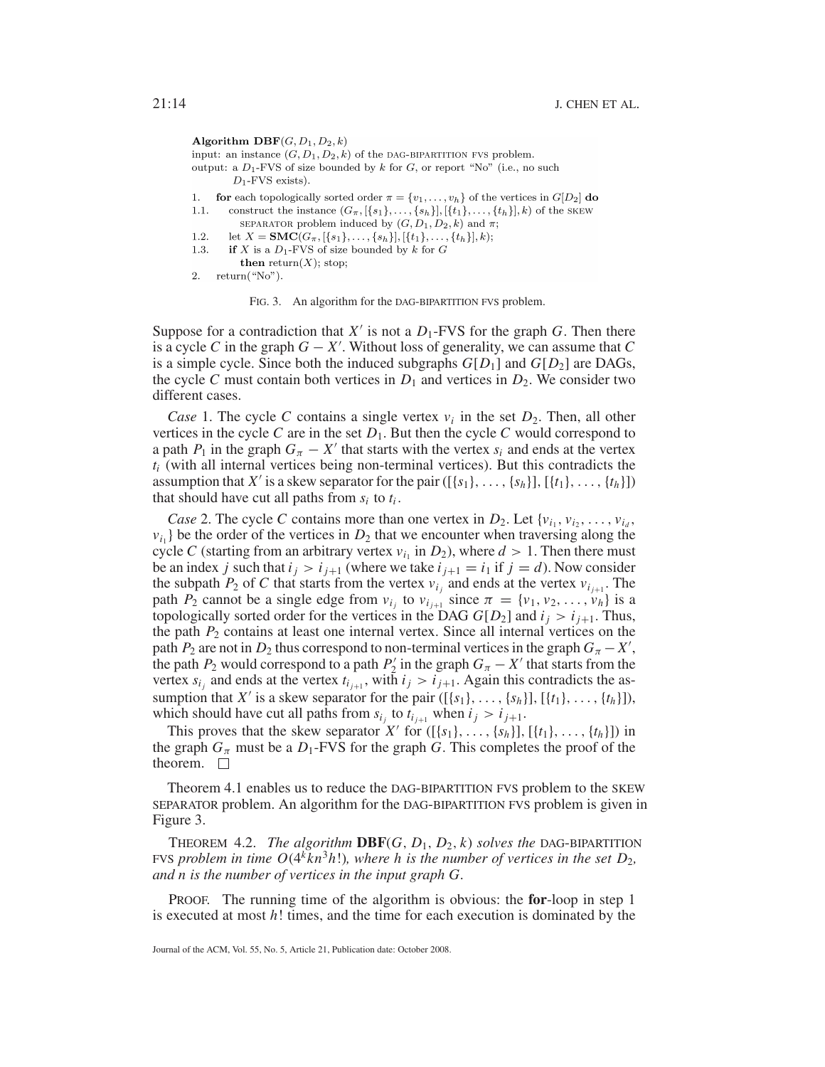Algorithm DBF( $G, D_1, D_2, k$ )

input: an instance  $(G, D_1, D_2, k)$  of the DAG-BIPARTITION FVS problem. output: a  $D_1$ -FVS of size bounded by k for G, or report "No" (i.e., no such  $D_1$ -FVS exists).

- 1. **for** each topologically sorted order  $\pi = \{v_1, \ldots, v_h\}$  of the vertices in  $G[D_2]$  **do**
- $1.1.$ construct the instance  $(G_{\pi},\{\{s_1\},\ldots,\{s_h\}],\{\{t_1\},\ldots,\{t_h\}\},k)$  of the SKEW
	- SEPARATOR problem induced by  $(G, D_1, D_2, k)$  and  $\pi$ ;
- $1.2.$ let  $X = \text{SMC}(G_{\pi}, \{ \{s_1\}, \ldots, \{s_h\} \}, \{ \{t_1\}, \ldots, \{t_h\} \}, k);$  $1.3.$
- if X is a  $D_1$ -FVS of size bounded by k for G **then** return(X); stop;
- 2.  $return("No").$

FIG. 3. An algorithm for the DAG-BIPARTITION FVS problem.

Suppose for a contradiction that  $X'$  is not a  $D_1$ -FVS for the graph *G*. Then there is a cycle *C* in the graph  $G - X'$ . Without loss of generality, we can assume that *C* is a simple cycle. Since both the induced subgraphs  $G[D_1]$  and  $G[D_2]$  are DAGs, the cycle *C* must contain both vertices in  $D_1$  and vertices in  $D_2$ . We consider two different cases.

*Case* 1. The cycle *C* contains a single vertex  $v_i$  in the set  $D_2$ . Then, all other vertices in the cycle  $C$  are in the set  $D_1$ . But then the cycle  $C$  would correspond to a path  $P_1$  in the graph  $G_\pi - X'$  that starts with the vertex  $s_i$  and ends at the vertex  $t_i$  (with all internal vertices being non-terminal vertices). But this contradicts the assumption that *X'* is a skew separator for the pair ([ ${s_1}, \ldots, {s_h}$ ], [ ${t_1}, \ldots, {t_h}$ ]) that should have cut all paths from  $s_i$  to  $t_i$ .

*Case* 2. The cycle *C* contains more than one vertex in  $D_2$ . Let  $\{v_i, v_i, \ldots, v_{i_d},\}$  $v_{i_1}$  be the order of the vertices in  $D_2$  that we encounter when traversing along the cycle *C* (starting from an arbitrary vertex  $v_{i_1}$  in  $D_2$ ), where  $d > 1$ . Then there must be an index *j* such that  $i_j > i_{j+1}$  (where we take  $i_{j+1} = i_1$  if  $j = d$ ). Now consider the subpath  $P_2$  of *C* that starts from the vertex  $v_{i_j}$  and ends at the vertex  $v_{i_{j+1}}$ . The path  $P_2$  cannot be a single edge from  $v_{i_j}$  to  $v_{i_{j+1}}$  since  $\pi = \{v_1, v_2, \ldots, v_h\}$  is a topologically sorted order for the vertices in the DAG  $G[D_2]$  and  $i_j > i_{j+1}$ . Thus, the path  $P_2$  contains at least one internal vertex. Since all internal vertices on the path  $P_2$  are not in  $D_2$  thus correspond to non-terminal vertices in the graph  $G_\pi - X'$ , the path *P*<sub>2</sub> would correspond to a path *P*<sup>2</sup> in the graph  $G_\pi - X'$  that starts from the vertex  $s_{i_j}$  and ends at the vertex  $t_{i_{j+1}}$ , with  $i_j > i_{j+1}$ . Again this contradicts the assumption that *X'* is a skew separator for the pair ([ ${s_1},..., {s_h}$ ], [ ${t_1},..., {t_h}$ ]), which should have cut all paths from  $s_{i_j}$  to  $t_{i_{j+1}}$  when  $i_j > i_{j+1}$ .

This proves that the skew separator *X'* for  $([\{s_1\}, \ldots, \{s_h\}],[\{t_1\}, \ldots, \{t_h\}])$  in the graph  $G_\pi$  must be a  $D_1$ -FVS for the graph *G*. This completes the proof of the theorem.  $\square$ 

Theorem 4.1 enables us to reduce the DAG-BIPARTITION FVS problem to the SKEW SEPARATOR problem. An algorithm for the DAG-BIPARTITION FVS problem is given in Figure 3.

**THEOREM 4.2.** *The algorithm* **DBF**( $G$ ,  $D_1$ ,  $D_2$ ,  $k$ ) *solves the* DAG-BIPARTITION FVS problem in time  $O(4^k kn^3h!)$ , where h is the number of vertices in the set  $D_2$ , *and n is the number of vertices in the input graph G.*

PROOF. The running time of the algorithm is obvious: the **for**-loop in step 1 is executed at most *h*! times, and the time for each execution is dominated by the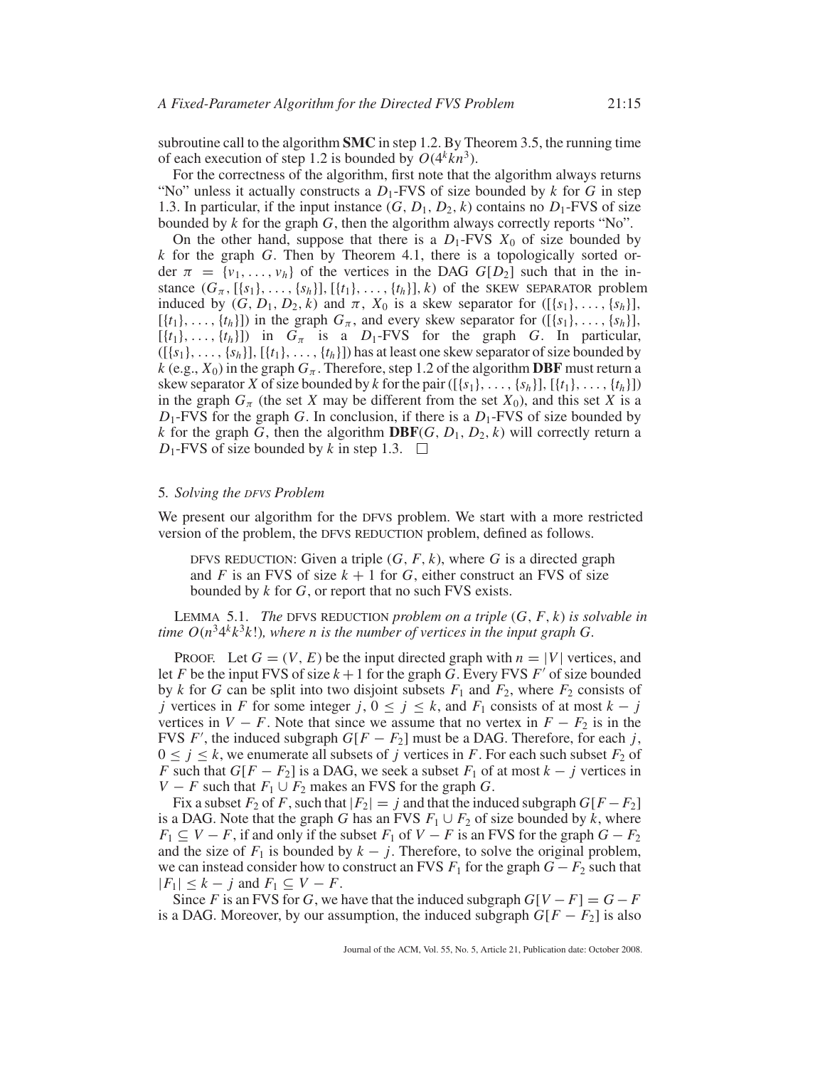subroutine call to the algorithm **SMC** in step 1.2. By Theorem 3.5, the running time of each execution of step 1.2 is bounded by  $O(4^k kn^3)$ .

For the correctness of the algorithm, first note that the algorithm always returns "No" unless it actually constructs a  $D_1$ -FVS of size bounded by  $k$  for  $G$  in step 1.3. In particular, if the input instance  $(G, D_1, D_2, k)$  contains no  $D_1$ -FVS of size bounded by *k* for the graph *G*, then the algorithm always correctly reports "No".

On the other hand, suppose that there is a  $D_1$ -FVS  $X_0$  of size bounded by *k* for the graph *G*. Then by Theorem 4.1, there is a topologically sorted order  $\pi = \{v_1, \ldots, v_h\}$  of the vertices in the DAG  $G[D_2]$  such that in the instance  $(G_{\pi}, [\{s_1\}, \ldots, \{s_h\}], [\{t_1\}, \ldots, \{t_h\}], k)$  of the SKEW SEPARATOR problem induced by  $(G, D_1, D_2, k)$  and  $\pi$ ,  $X_0$  is a skew separator for  $([\{s_1\}, \ldots, \{s_h\}],$  $[\{t_1\},\ldots,\{t_h\}]$ ) in the graph  $G_\pi$ , and every skew separator for  $([\{s_1\},\ldots,\{s_h\}],$  $[{t_1},..., {t_h}]$ ) in  $G_\pi$  is a  $D_1$ -FVS for the graph *G*. In particular,  $([{s_1},..., {s_h}], [{t_1},..., {t_h}])$  has at least one skew separator of size bounded by  $k$  (e.g.,  $X_0$ ) in the graph  $G_\pi$ . Therefore, step 1.2 of the algorithm **DBF** must return a skew separator *X* of size bounded by *k* for the pair ([ ${s_1},...,s_{s_h}$ ], [ ${t_1},...,t_h$ ]) in the graph  $G_\pi$  (the set *X* may be different from the set  $X_0$ ), and this set *X* is a *D*1-FVS for the graph *G*. In conclusion, if there is a *D*1-FVS of size bounded by *k* for the graph *G*, then the algorithm **DBF**(*G*,  $D_1$ ,  $D_2$ , *k*) will correctly return a  $D_1$ -FVS of size bounded by *k* in step 1.3.  $\Box$ 

#### 5*. Solving the DFVS Problem*

We present our algorithm for the DFVS problem. We start with a more restricted version of the problem, the DFVS REDUCTION problem, defined as follows.

DFVS REDUCTION: Given a triple  $(G, F, k)$ , where G is a directed graph and *F* is an FVS of size  $k + 1$  for *G*, either construct an FVS of size bounded by *k* for *G*, or report that no such FVS exists.

LEMMA 5.1. *The* DFVS REDUCTION *problem on a triple* (*G*, *F*, *k*) *is solvable in time*  $O(n^3 4^k k^3 k!)$ *, where n is the number of vertices in the input graph G.* 

PROOF. Let  $G = (V, E)$  be the input directed graph with  $n = |V|$  vertices, and let *F* be the input FVS of size  $k + 1$  for the graph *G*. Every FVS *F'* of size bounded by *k* for *G* can be split into two disjoint subsets  $F_1$  and  $F_2$ , where  $F_2$  consists of *j* vertices in *F* for some integer *j*,  $0 \le j \le k$ , and  $F_1$  consists of at most  $k - j$ vertices in  $V - F$ . Note that since we assume that no vertex in  $F - F_2$  is in the FVS *F'*, the induced subgraph  $G[F - F_2]$  must be a DAG. Therefore, for each *j*,  $0 \le j \le k$ , we enumerate all subsets of *j* vertices in *F*. For each such subset  $F_2$  of *F* such that  $G[F - F_2]$  is a DAG, we seek a subset  $F_1$  of at most  $k - j$  vertices in *V* − *F* such that  $F_1 \cup F_2$  makes an FVS for the graph *G*.

Fix a subset  $F_2$  of  $F$ , such that  $|F_2| = j$  and that the induced subgraph  $G[F - F_2]$ is a DAG. Note that the graph *G* has an FVS  $F_1 \cup F_2$  of size bounded by *k*, where  $F_1 \subseteq V - F$ , if and only if the subset  $F_1$  of  $V - F$  is an FVS for the graph  $G - F_2$ and the size of  $F_1$  is bounded by  $k - j$ . Therefore, to solve the original problem, we can instead consider how to construct an FVS  $F_1$  for the graph  $G - F_2$  such that  $|F_1| \leq k - j$  and  $F_1 \subseteq V - F$ .

Since *F* is an FVS for *G*, we have that the induced subgraph  $G[V - F] = G - F$ is a DAG. Moreover, by our assumption, the induced subgraph  $G[F - F_2]$  is also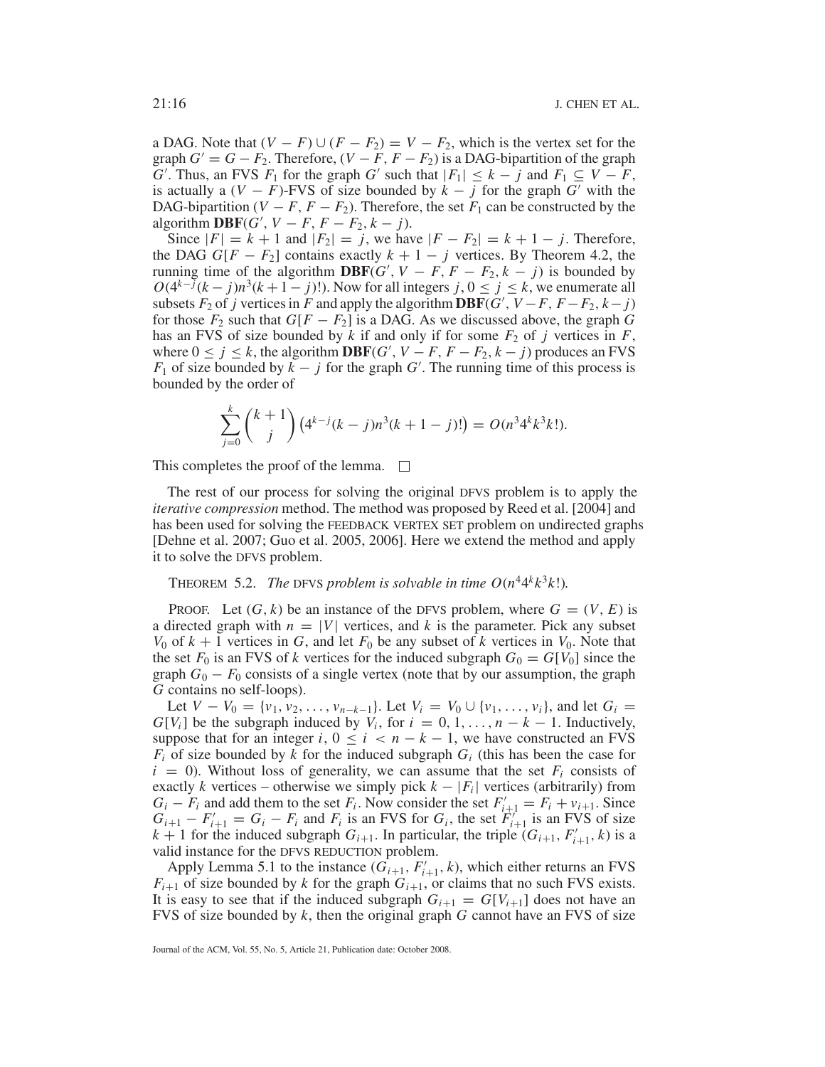a DAG. Note that  $(V - F) \cup (F - F_2) = V - F_2$ , which is the vertex set for the graph  $G' = G - F_2$ . Therefore,  $(V - F, F - F_2)$  is a DAG-bipartition of the graph *G*<sup> $\cdot$ </sup>. Thus, an FVS  $F_1$  for the graph *G*' such that  $|F_1| \leq k - j$  and  $F_1 \subseteq V - F$ , is actually a  $(V - F)$ -FVS of size bounded by  $k - j$  for the graph *G'* with the DAG-bipartition ( $V - F$ ,  $F - F_2$ ). Therefore, the set  $F_1$  can be constructed by the algorithm **DBF**( $G'$ ,  $V - F$ ,  $F - F_2$ ,  $k - j$ ).

Since  $|F| = k + 1$  and  $|F_2| = j$ , we have  $|F - F_2| = k + 1 - j$ . Therefore, the DAG  $G[F - F_2]$  contains exactly  $k + 1 - j$  vertices. By Theorem 4.2, the running time of the algorithm **DBF**( $G'$ ,  $V - F$ ,  $F - F_2$ ,  $k - j$ ) is bounded by  $O(4^{k-j}(k-j)n^3(k+1-j)!)$ . Now for all integers *j*,  $0 \le j \le k$ , we enumerate all subsets  $F_2$  of *j* vertices in  $F$  and apply the algorithm **DBF**( $G'$ ,  $V - F$ ,  $F - F_2$ ,  $k - j$ ) for those  $F_2$  such that  $G[F - F_2]$  is a DAG. As we discussed above, the graph  $G$ has an FVS of size bounded by  $k$  if and only if for some  $F_2$  of  $j$  vertices in  $F$ , where  $0 \le j \le k$ , the algorithm **DBF**(*G'*,  $V - F$ ,  $F - F_2$ ,  $k - j$ ) produces an FVS *F*<sub>1</sub> of size bounded by  $\overline{k}$  − *j* for the graph *G*<sup>'</sup>. The running time of this process is bounded by the order of

$$
\sum_{j=0}^{k} {k+1 \choose j} (4^{k-j}(k-j)n^3(k+1-j)!) = O(n^34^k k^3 k!).
$$

This completes the proof of the lemma.  $\Box$ 

The rest of our process for solving the original DFVS problem is to apply the *iterative compression* method. The method was proposed by Reed et al. [2004] and has been used for solving the FEEDBACK VERTEX SET problem on undirected graphs [Dehne et al. 2007; Guo et al. 2005, 2006]. Here we extend the method and apply it to solve the DFVS problem.

# THEOREM 5.2. *The* DFVS *problem is solvable in time*  $O(n^4 4^k k^3 k!)$ .

**PROOF.** Let  $(G, k)$  be an instance of the DFVS problem, where  $G = (V, E)$  is a directed graph with  $n = |V|$  vertices, and k is the parameter. Pick any subset  $V_0$  of  $k + 1$  vertices in *G*, and let  $F_0$  be any subset of *k* vertices in  $V_0$ . Note that the set  $F_0$  is an FVS of *k* vertices for the induced subgraph  $G_0 = G[V_0]$  since the graph  $G_0 - F_0$  consists of a single vertex (note that by our assumption, the graph *G* contains no self-loops).

Let  $V - V_0 = \{v_1, v_2, \ldots, v_{n-k-1}\}\$ . Let  $V_i = V_0 \cup \{v_1, \ldots, v_i\}$ , and let  $G_i$ *G*[ $V_i$ ] be the subgraph induced by  $V_i$ , for  $i = 0, 1, \ldots, n - k - 1$ . Inductively, suppose that for an integer *i*,  $0 \le i \le n - k - 1$ , we have constructed an FVS  $F_i$  of size bounded by  $k$  for the induced subgraph  $G_i$  (this has been the case for  $i = 0$ ). Without loss of generality, we can assume that the set  $F_i$  consists of exactly *k* vertices – otherwise we simply pick  $k - |F_i|$  vertices (arbitrarily) from  $G_i - F_i$  and add them to the set  $F_i$ . Now consider the set  $F'_{i+1} = F_i + v_{i+1}$ . Since  $G_{i+1} - F'_{i+1} = G_i - F_i$  and  $F_i$  is an FVS for  $G_i$ , the set  $F'_{i+1}$  is an FVS of size  $k + 1$  for the induced subgraph  $G_{i+1}$ . In particular, the triple  $(G_{i+1}, F'_{i+1}, k)$  is a valid instance for the DFVS REDUCTION problem.

Apply Lemma 5.1 to the instance  $(G_{i+1}, F'_{i+1}, k)$ , which either returns an FVS  $F_{i+1}$  of size bounded by *k* for the graph  $G_{i+1}$ , or claims that no such FVS exists. It is easy to see that if the induced subgraph  $G_{i+1} = G[V_{i+1}]$  does not have an FVS of size bounded by *k*, then the original graph *G* cannot have an FVS of size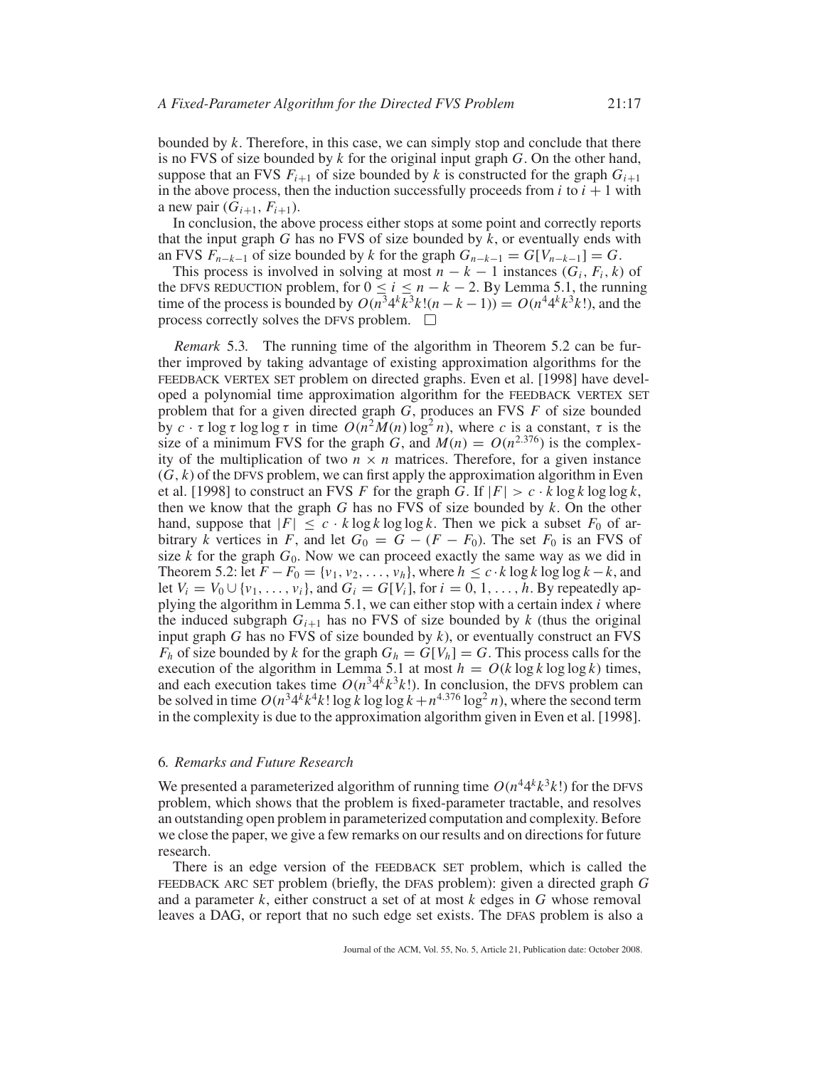bounded by *k*. Therefore, in this case, we can simply stop and conclude that there is no FVS of size bounded by *k* for the original input graph *G*. On the other hand, suppose that an FVS  $F_{i+1}$  of size bounded by k is constructed for the graph  $G_{i+1}$ in the above process, then the induction successfully proceeds from  $i$  to  $i + 1$  with a new pair  $(G_{i+1}, F_{i+1})$ .

In conclusion, the above process either stops at some point and correctly reports that the input graph *G* has no FVS of size bounded by *k*, or eventually ends with an FVS  $F_{n-k-1}$  of size bounded by *k* for the graph  $G_{n-k-1} = G[V_{n-k-1}] = G$ .

This process is involved in solving at most  $n - k - 1$  instances ( $G_i, F_i, k$ ) of the DFVS REDUCTION problem, for  $0 \le i \le n - k - 2$ . By Lemma 5.1, the running time of the process is bounded by  $O(n^34^k k^3 k! (n - k - 1)) = O(n^44^k k^3 k!)$ , and the process correctly solves the DFVS problem.  $\Box$ 

*Remark* 5.3*.* The running time of the algorithm in Theorem 5.2 can be further improved by taking advantage of existing approximation algorithms for the FEEDBACK VERTEX SET problem on directed graphs. Even et al. [1998] have developed a polynomial time approximation algorithm for the FEEDBACK VERTEX SET problem that for a given directed graph *G*, produces an FVS *F* of size bounded by  $c \cdot \tau \log \tau \log \log \tau$  in time  $O(n^2M(n) \log^2 n)$ , where *c* is a constant, *τ* is the size of a minimum FVS for the graph *G*, and  $M(n) = O(n^{2.376})$  is the complexity of the multiplication of two  $n \times n$  matrices. Therefore, for a given instance  $(G, k)$  of the DFVS problem, we can first apply the approximation algorithm in Even et al. [1998] to construct an FVS *F* for the graph *G*. If  $|F| > c \cdot k \log k \log \log k$ , then we know that the graph *G* has no FVS of size bounded by *k*. On the other hand, suppose that  $|F| \leq c \cdot k \log k \log \log k$ . Then we pick a subset  $F_0$  of arbitrary *k* vertices in *F*, and let  $G_0 = G - (F - F_0)$ . The set  $F_0$  is an FVS of size  $k$  for the graph  $G_0$ . Now we can proceed exactly the same way as we did in Theorem 5.2: let  $F - F_0 = \{v_1, v_2, \ldots, v_h\}$ , where  $h \leq c \cdot k \log k \log \log k - k$ , and let  $V_i = V_0 \cup \{v_1, \ldots, v_i\}$ , and  $G_i = G[V_i]$ , for  $i = 0, 1, \ldots, h$ . By repeatedly applying the algorithm in Lemma 5.1, we can either stop with a certain index *i* where the induced subgraph  $G_{i+1}$  has no FVS of size bounded by  $k$  (thus the original input graph *G* has no FVS of size bounded by *k*), or eventually construct an FVS  $F_h$  of size bounded by *k* for the graph  $G_h = G[V_h] = G$ . This process calls for the execution of the algorithm in Lemma 5.1 at most  $h = O(k \log k \log \log k)$  times, and each execution takes time  $O(n^3 4^k k^3 k!)$ . In conclusion, the DFVS problem can be solved in time  $O(n^3 4^k k^4 k! \log k \log \log k + n^{4.376} \log^2 n)$ , where the second term in the complexity is due to the approximation algorithm given in Even et al. [1998].

## 6*. Remarks and Future Research*

We presented a parameterized algorithm of running time  $O(n^4 4^k k^3 k!)$  for the DFVS problem, which shows that the problem is fixed-parameter tractable, and resolves an outstanding open problem in parameterized computation and complexity. Before we close the paper, we give a few remarks on our results and on directions for future research.

There is an edge version of the FEEDBACK SET problem, which is called the FEEDBACK ARC SET problem (briefly, the DFAS problem): given a directed graph *G* and a parameter  $k$ , either construct a set of at most  $k$  edges in  $G$  whose removal leaves a DAG, or report that no such edge set exists. The DFAS problem is also a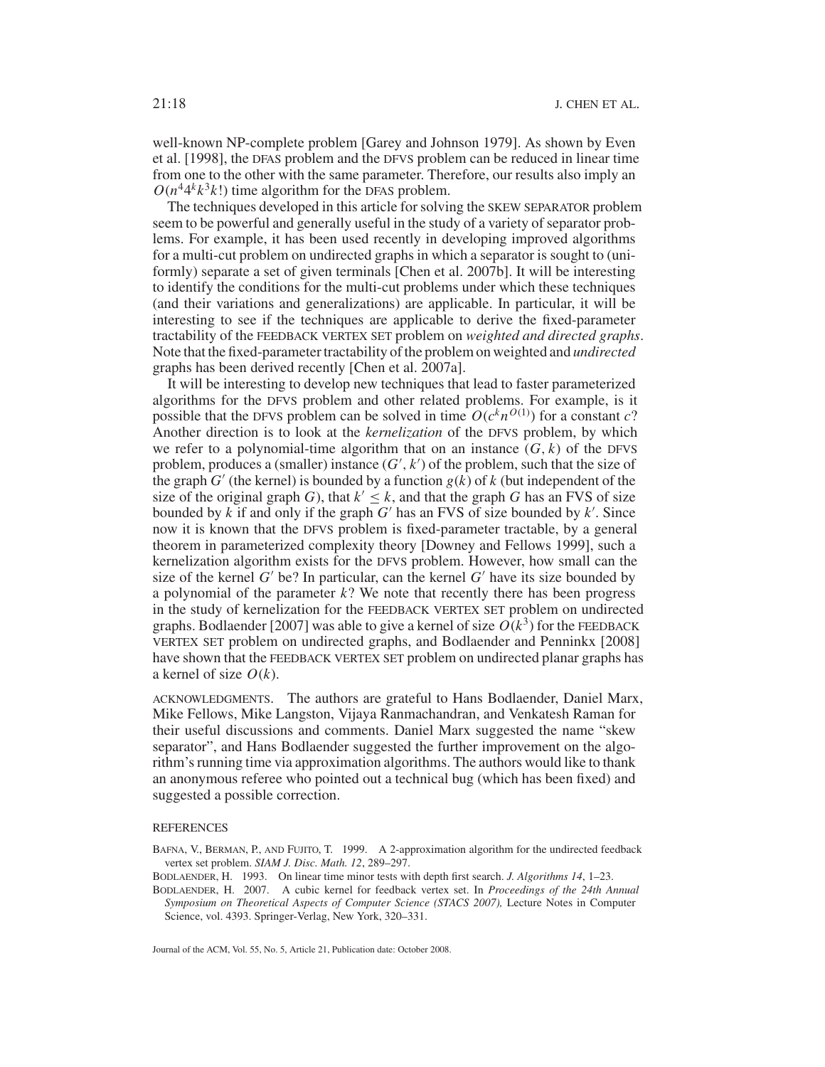well-known NP-complete problem [Garey and Johnson 1979]. As shown by Even et al. [1998], the DFAS problem and the DFVS problem can be reduced in linear time from one to the other with the same parameter. Therefore, our results also imply an  $O(n^4 4^k k^3 k!)$  time algorithm for the DFAS problem.

The techniques developed in this article for solving the SKEW SEPARATOR problem seem to be powerful and generally useful in the study of a variety of separator problems. For example, it has been used recently in developing improved algorithms for a multi-cut problem on undirected graphs in which a separator is sought to (uniformly) separate a set of given terminals [Chen et al. 2007b]. It will be interesting to identify the conditions for the multi-cut problems under which these techniques (and their variations and generalizations) are applicable. In particular, it will be interesting to see if the techniques are applicable to derive the fixed-parameter tractability of the FEEDBACK VERTEX SET problem on *weighted and directed graphs*. Note that the fixed-parameter tractability of the problem on weighted and *undirected* graphs has been derived recently [Chen et al. 2007a].

It will be interesting to develop new techniques that lead to faster parameterized algorithms for the DFVS problem and other related problems. For example, is it possible that the DFVS problem can be solved in time  $O(c^k n^{O(1)})$  for a constant *c*? Another direction is to look at the *kernelization* of the DFVS problem, by which we refer to a polynomial-time algorithm that on an instance  $(G, k)$  of the DFVS problem, produces a (smaller) instance  $(G', k')$  of the problem, such that the size of the graph  $G'$  (the kernel) is bounded by a function  $g(k)$  of  $k$  (but independent of the size of the original graph *G*), that  $k' \leq k$ , and that the graph *G* has an FVS of size bounded by  $k$  if and only if the graph  $G'$  has an FVS of size bounded by  $k'$ . Since now it is known that the DFVS problem is fixed-parameter tractable, by a general theorem in parameterized complexity theory [Downey and Fellows 1999], such a kernelization algorithm exists for the DFVS problem. However, how small can the size of the kernel  $G'$  be? In particular, can the kernel  $G'$  have its size bounded by a polynomial of the parameter *k*? We note that recently there has been progress in the study of kernelization for the FEEDBACK VERTEX SET problem on undirected graphs. Bodlaender [2007] was able to give a kernel of size  $O(k^3)$  for the FEEDBACK VERTEX SET problem on undirected graphs, and Bodlaender and Penninkx [2008] have shown that the FEEDBACK VERTEX SET problem on undirected planar graphs has a kernel of size *O*(*k*).

ACKNOWLEDGMENTS. The authors are grateful to Hans Bodlaender, Daniel Marx, Mike Fellows, Mike Langston, Vijaya Ranmachandran, and Venkatesh Raman for their useful discussions and comments. Daniel Marx suggested the name "skew separator", and Hans Bodlaender suggested the further improvement on the algorithm's running time via approximation algorithms. The authors would like to thank an anonymous referee who pointed out a technical bug (which has been fixed) and suggested a possible correction.

#### **REFERENCES**

- BAFNA, V., BERMAN, P., AND FUJITO, T. 1999. A 2-approximation algorithm for the undirected feedback vertex set problem. *SIAM J. Disc. Math. 12*, 289–297.
- BODLAENDER, H. 1993. On linear time minor tests with depth first search. *J. Algorithms 14*, 1–23.
- BODLAENDER, H. 2007. A cubic kernel for feedback vertex set. In *Proceedings of the 24th Annual Symposium on Theoretical Aspects of Computer Science (STACS 2007),* Lecture Notes in Computer Science, vol. 4393. Springer-Verlag, New York, 320–331.